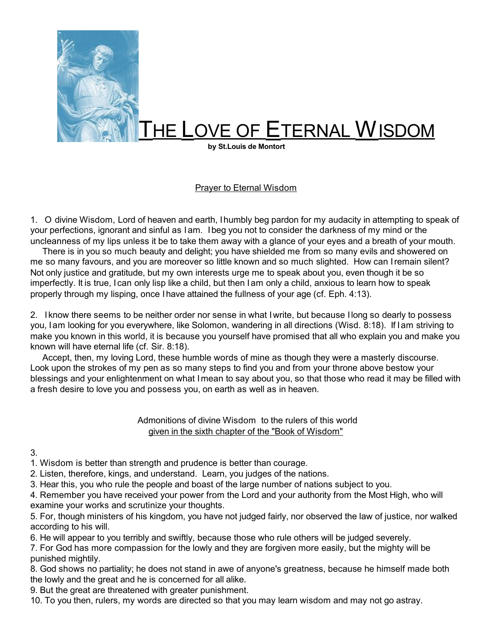

### Prayer to Eternal Wisdom

1. O divine Wisdom, Lord of heaven and earth, I humbly beg pardon for my audacity in attempting to speak of your perfections, ignorant and sinful as I am. I beg you not to consider the darkness of my mind or the uncleanness of my lips unless it be to take them away with a glance of your eyes and a breath of your mouth.

There is in you so much beauty and delight; you have shielded me from so many evils and showered on me so many favours, and you are moreover so little known and so much slighted. How can I remain silent? Not only justice and gratitude, but my own interests urge me to speak about you, even though it be so imperfectly. It is true, I can only lisp like a child, but then I am only a child, anxious to learn how to speak properly through my lisping, once I have attained the fullness of your age (cf. Eph. 4:13).

2. I know there seems to be neither order nor sense in what I write, but because I long so dearly to possess you, I am looking for you everywhere, like Solomon, wandering in all directions (Wisd. 8:18). If I am striving to make you known in this world, it is because you yourself have promised that all who explain you and make you known will have eternal life (cf. Sir. 8:18).

Accept, then, my loving Lord, these humble words of mine as though they were a masterly discourse. Look upon the strokes of my pen as so many steps to find you and from your throne above bestow your blessings and your enlightenment on what I mean to say about you, so that those who read it may be filled with a fresh desire to love you and possess you, on earth as well as in heaven.

### Admonitions of divine Wisdom to the rulers of this world given in the sixth chapter of the "Book of Wisdom"

### 3.

1. Wisdom is better than strength and prudence is better than courage.

2. Listen, therefore, kings, and understand. Learn, you judges of the nations.

3. Hear this, you who rule the people and boast of the large number of nations subject to you.

4. Remember you have received your power from the Lord and your authority from the Most High, who will examine your works and scrutinize your thoughts.

5. For, though ministers of his kingdom, you have not judged fairly, nor observed the law of justice, nor walked according to his will.

6. He will appear to you terribly and swiftly, because those who rule others will be judged severely.

7. For God has more compassion for the lowly and they are forgiven more easily, but the mighty will be punished mightily.

8. God shows no partiality; he does not stand in awe of anyone's greatness, because he himself made both the lowly and the great and he is concerned for all alike.

9. But the great are threatened with greater punishment.

10. To you then, rulers, my words are directed so that you may learn wisdom and may not go astray.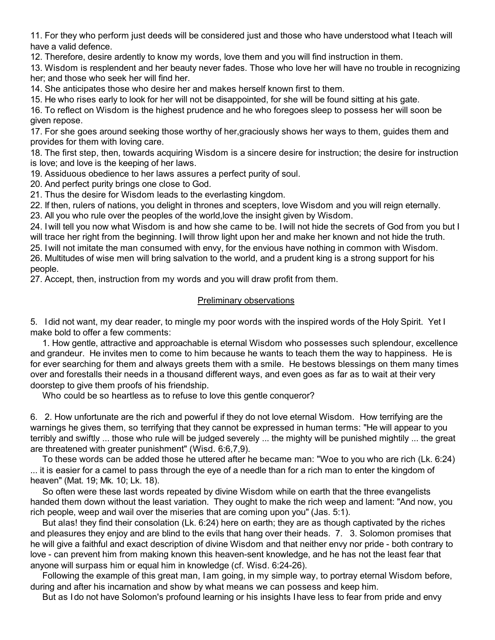11. For they who perform just deeds will be considered just and those who have understood what I teach will have a valid defence.

12. Therefore, desire ardently to know my words, love them and you will find instruction in them.

13. Wisdom is resplendent and her beauty never fades. Those who love her will have no trouble in recognizing her; and those who seek her will find her.

14. She anticipates those who desire her and makes herself known first to them.

15. He who rises early to look for her will not be disappointed, for she will be found sitting at his gate.

16. To reflect on Wisdom is the highest prudence and he who foregoes sleep to possess her will soon be given repose.

17. For she goes around seeking those worthy of her,graciously shows her ways to them, guides them and provides for them with loving care.

18. The first step, then, towards acquiring Wisdom is a sincere desire for instruction; the desire for instruction is love; and love is the keeping of her laws.

19. Assiduous obedience to her laws assures a perfect purity of soul.

20. And perfect purity brings one close to God.

21. Thus the desire for Wisdom leads to the everlasting kingdom.

22. If then, rulers of nations, you delight in thrones and scepters, love Wisdom and you will reign eternally.

23. All you who rule over the peoples of the world,love the insight given by Wisdom.

24. I will tell you now what Wisdom is and how she came to be. I will not hide the secrets of God from you but I will trace her right from the beginning. I will throw light upon her and make her known and not hide the truth.

25. I will not imitate the man consumed with envy, for the envious have nothing in common with Wisdom.

26. Multitudes of wise men will bring salvation to the world, and a prudent king is a strong support for his people.

27. Accept, then, instruction from my words and you will draw profit from them.

### Preliminary observations

5. I did not want, my dear reader, to mingle my poor words with the inspired words of the Holy Spirit. Yet I make bold to offer a few comments:

1. How gentle, attractive and approachable is eternal Wisdom who possesses such splendour, excellence and grandeur. He invites men to come to him because he wants to teach them the way to happiness. He is for ever searching for them and always greets them with a smile. He bestows blessings on them many times over and forestalls their needs in a thousand different ways, and even goes as far as to wait at their very doorstep to give them proofs of his friendship.

Who could be so heartless as to refuse to love this gentle conqueror?

6. 2. How unfortunate are the rich and powerful if they do not love eternal Wisdom. How terrifying are the warnings he gives them, so terrifying that they cannot be expressed in human terms: "He will appear to you terribly and swiftly ... those who rule will be judged severely ... the mighty will be punished mightily ... the great are threatened with greater punishment" (Wisd. 6:6,7,9).

To these words can be added those he uttered after he became man: "Woe to you who are rich (Lk. 6:24) ... it is easier for a camel to pass through the eye of a needle than for a rich man to enter the kingdom of heaven" (Mat. 19; Mk. 10; Lk. 18).

So often were these last words repeated by divine Wisdom while on earth that the three evangelists handed them down without the least variation. They ought to make the rich weep and lament: "And now, you rich people, weep and wail over the miseries that are coming upon you" (Jas. 5:1).

But alas! they find their consolation (Lk. 6:24) here on earth; they are as though captivated by the riches and pleasures they enjoy and are blind to the evils that hang over their heads. 7. 3. Solomon promises that he will give a faithful and exact description of divine Wisdom and that neither envy nor pride - both contrary to love - can prevent him from making known this heaven-sent knowledge, and he has not the least fear that anyone will surpass him or equal him in knowledge (cf. Wisd. 6:24-26).

Following the example of this great man, I am going, in my simple way, to portray eternal Wisdom before, during and after his incarnation and show by what means we can possess and keep him.

But as I do not have Solomon's profound learning or his insights I have less to fear from pride and envy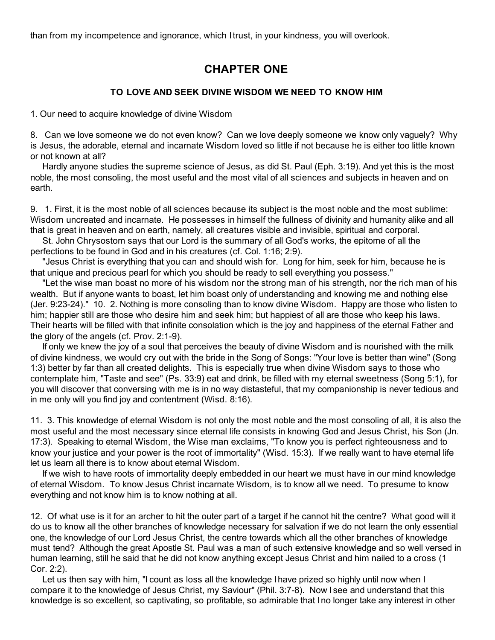than from my incompetence and ignorance, which I trust, in your kindness, you will overlook.

# **CHAPTER ONE**

### **TO LOVE AND SEEK DIVINE WISDOM WE NEED TO KNOW HIM**

### 1. Our need to acquire knowledge of divine Wisdom

8. Can we love someone we do not even know? Can we love deeply someone we know only vaguely? Why is Jesus, the adorable, eternal and incarnate Wisdom loved so little if not because he is either too little known or not known at all?

Hardly anyone studies the supreme science of Jesus, as did St. Paul (Eph. 3:19). And yet this is the most noble, the most consoling, the most useful and the most vital of all sciences and subjects in heaven and on earth.

9. 1. First, it is the most noble of all sciences because its subject is the most noble and the most sublime: Wisdom uncreated and incarnate. He possesses in himself the fullness of divinity and humanity alike and all that is great in heaven and on earth, namely, all creatures visible and invisible, spiritual and corporal.

St. John Chrysostom says that our Lord is the summary of all God's works, the epitome of all the perfections to be found in God and in his creatures (cf. Col. 1:16; 2:9).

"Jesus Christ is everything that you can and should wish for. Long for him, seek for him, because he is that unique and precious pearl for which you should be ready to sell everything you possess."

"Let the wise man boast no more of his wisdom nor the strong man of his strength, nor the rich man of his wealth. But if anyone wants to boast, let him boast only of understanding and knowing me and nothing else (Jer. 9:23-24)." 10. 2. Nothing is more consoling than to know divine Wisdom. Happy are those who listen to him; happier still are those who desire him and seek him; but happiest of all are those who keep his laws. Their hearts will be filled with that infinite consolation which is the joy and happiness of the eternal Father and the glory of the angels (cf. Prov. 2:1-9).

If only we knew the joy of a soul that perceives the beauty of divine Wisdom and is nourished with the milk of divine kindness, we would cry out with the bride in the Song of Songs: "Your love is better than wine" (Song 1:3) better by far than all created delights. This is especially true when divine Wisdom says to those who contemplate him, "Taste and see" (Ps. 33:9) eat and drink, be filled with my eternal sweetness (Song 5:1), for you will discover that conversing with me is in no way distasteful, that my companionship is never tedious and in me only will you find joy and contentment (Wisd. 8:16).

11. 3. This knowledge of eternal Wisdom is not only the most noble and the most consoling of all, it is also the most useful and the most necessary since eternal life consists in knowing God and Jesus Christ, his Son (Jn. 17:3). Speaking to eternal Wisdom, the Wise man exclaims, "To know you is perfect righteousness and to know your justice and your power is the root of immortality" (Wisd. 15:3). If we really want to have eternal life let us learn all there is to know about eternal Wisdom.

If we wish to have roots of immortality deeply embedded in our heart we must have in our mind knowledge of eternal Wisdom. To know Jesus Christ incarnate Wisdom, is to know all we need. To presume to know everything and not know him is to know nothing at all.

12. Of what use is it for an archer to hit the outer part of a target if he cannot hit the centre? What good will it do us to know all the other branches of knowledge necessary for salvation if we do not learn the only essential one, the knowledge of our Lord Jesus Christ, the centre towards which all the other branches of knowledge must tend? Although the great Apostle St. Paul was a man of such extensive knowledge and so well versed in human learning, still he said that he did not know anything except Jesus Christ and him nailed to a cross (1 Cor. 2:2).

Let us then say with him, "I count as loss all the knowledge I have prized so highly until now when I compare it to the knowledge of Jesus Christ, my Saviour" (Phil. 3:7-8). Now I see and understand that this knowledge is so excellent, so captivating, so profitable, so admirable that I no longer take any interest in other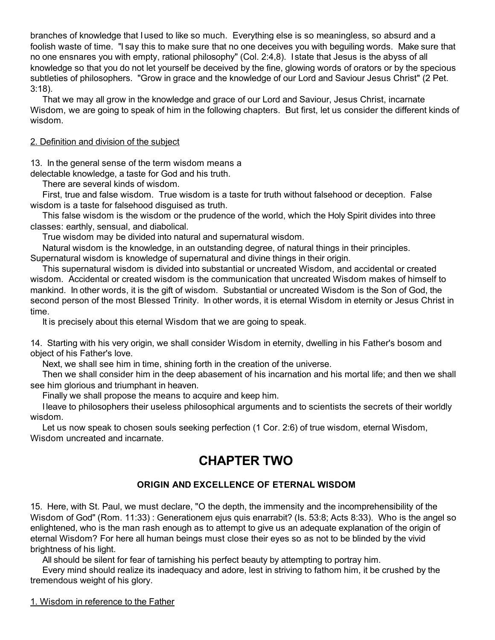branches of knowledge that I used to like so much. Everything else is so meaningless, so absurd and a foolish waste of time. "I say this to make sure that no one deceives you with beguiling words. Make sure that no one ensnares you with empty, rational philosophy" (Col. 2:4,8). I state that Jesus is the abyss of all knowledge so that you do not let yourself be deceived by the fine, glowing words of orators or by the specious subtleties of philosophers. "Grow in grace and the knowledge of our Lord and Saviour Jesus Christ" (2 Pet. 3:18).

That we may all grow in the knowledge and grace of our Lord and Saviour, Jesus Christ, incarnate Wisdom, we are going to speak of him in the following chapters. But first, let us consider the different kinds of wisdom.

### 2. Definition and division of the subject

13. In the general sense of the term wisdom means a

delectable knowledge, a taste for God and his truth.

There are several kinds of wisdom.

First, true and false wisdom. True wisdom is a taste for truth without falsehood or deception. False wisdom is a taste for falsehood disguised as truth.

This false wisdom is the wisdom or the prudence of the world, which the Holy Spirit divides into three classes: earthly, sensual, and diabolical.

True wisdom may be divided into natural and supernatural wisdom.

Natural wisdom is the knowledge, in an outstanding degree, of natural things in their principles.

Supernatural wisdom is knowledge of supernatural and divine things in their origin.

This supernatural wisdom is divided into substantial or uncreated Wisdom, and accidental or created wisdom. Accidental or created wisdom is the communication that uncreated Wisdom makes of himself to mankind. In other words, it is the gift of wisdom. Substantial or uncreated Wisdom is the Son of God, the second person of the most Blessed Trinity. In other words, it is eternal Wisdom in eternity or Jesus Christ in time.

It is precisely about this eternal Wisdom that we are going to speak.

14. Starting with his very origin, we shall consider Wisdom in eternity, dwelling in his Father's bosom and object of his Father's love.

Next, we shall see him in time, shining forth in the creation of the universe.

Then we shall consider him in the deep abasement of his incarnation and his mortal life; and then we shall see him glorious and triumphant in heaven.

Finally we shall propose the means to acquire and keep him.

I leave to philosophers their useless philosophical arguments and to scientists the secrets of their worldly wisdom.

Let us now speak to chosen souls seeking perfection (1 Cor. 2:6) of true wisdom, eternal Wisdom, Wisdom uncreated and incarnate.

# **CHAPTER TWO**

# **ORIGIN AND EXCELLENCE OF ETERNAL WISDOM**

15. Here, with St. Paul, we must declare, "O the depth, the immensity and the incomprehensibility of the Wisdom of God" (Rom. 11:33) : Generationem ejus quis enarrabit? (Is. 53:8; Acts 8:33). Who is the angel so enlightened, who is the man rash enough as to attempt to give us an adequate explanation of the origin of eternal Wisdom? For here all human beings must close their eyes so as not to be blinded by the vivid brightness of his light.

All should be silent for fear of tarnishing his perfect beauty by attempting to portray him.

Every mind should realize its inadequacy and adore, lest in striving to fathom him, it be crushed by the tremendous weight of his glory.

### 1. Wisdom in reference to the Father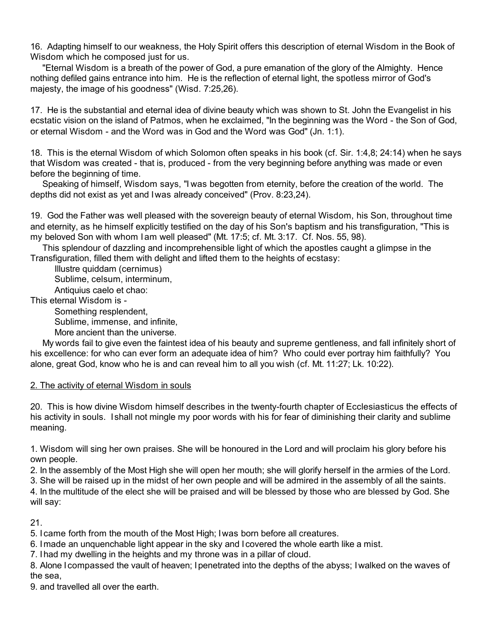16. Adapting himself to our weakness, the Holy Spirit offers this description of eternal Wisdom in the Book of Wisdom which he composed just for us.

"Eternal Wisdom is a breath of the power of God, a pure emanation of the glory of the Almighty. Hence nothing defiled gains entrance into him. He is the reflection of eternal light, the spotless mirror of God's majesty, the image of his goodness" (Wisd. 7:25,26).

17. He is the substantial and eternal idea of divine beauty which was shown to St. John the Evangelist in his ecstatic vision on the island of Patmos, when he exclaimed, "In the beginning was the Word - the Son of God, or eternal Wisdom - and the Word was in God and the Word was God" (Jn. 1:1).

18. This is the eternal Wisdom of which Solomon often speaks in his book (cf. Sir. 1:4,8; 24:14) when he says that Wisdom was created - that is, produced - from the very beginning before anything was made or even before the beginning of time.

Speaking of himself, Wisdom says, "I was begotten from eternity, before the creation of the world. The depths did not exist as yet and I was already conceived" (Prov. 8:23,24).

19. God the Father was well pleased with the sovereign beauty of eternal Wisdom, his Son, throughout time and eternity, as he himself explicitly testified on the day of his Son's baptism and his transfiguration, "This is my beloved Son with whom I am well pleased" (Mt. 17:5; cf. Mt. 3:17. Cf. Nos. 55, 98).

This splendour of dazzling and incomprehensible light of which the apostles caught a glimpse in the Transfiguration, filled them with delight and lifted them to the heights of ecstasy:

Illustre quiddam (cernimus) Sublime, celsum, interminum, Antiquius caelo et chao:

This eternal Wisdom is -

Something resplendent,

Sublime, immense, and infinite,

More ancient than the universe.

My words fail to give even the faintest idea of his beauty and supreme gentleness, and fall infinitely short of his excellence: for who can ever form an adequate idea of him? Who could ever portray him faithfully? You alone, great God, know who he is and can reveal him to all you wish (cf. Mt. 11:27; Lk. 10:22).

### 2. The activity of eternal Wisdom in souls

20. This is how divine Wisdom himself describes in the twenty-fourth chapter of Ecclesiasticus the effects of his activity in souls. I shall not mingle my poor words with his for fear of diminishing their clarity and sublime meaning.

1. Wisdom will sing her own praises. She will be honoured in the Lord and will proclaim his glory before his own people.

2. In the assembly of the Most High she will open her mouth; she will glorify herself in the armies of the Lord.

3. She will be raised up in the midst of her own people and will be admired in the assembly of all the saints.

4. In the multitude of the elect she will be praised and will be blessed by those who are blessed by God. She will say:

21.

5. I came forth from the mouth of the Most High; I was born before all creatures.

6. I made an unquenchable light appear in the sky and I covered the whole earth like a mist.

7. I had my dwelling in the heights and my throne was in a pillar of cloud.

8. Alone I compassed the vault of heaven; I penetrated into the depths of the abyss; I walked on the waves of the sea,

9. and travelled all over the earth.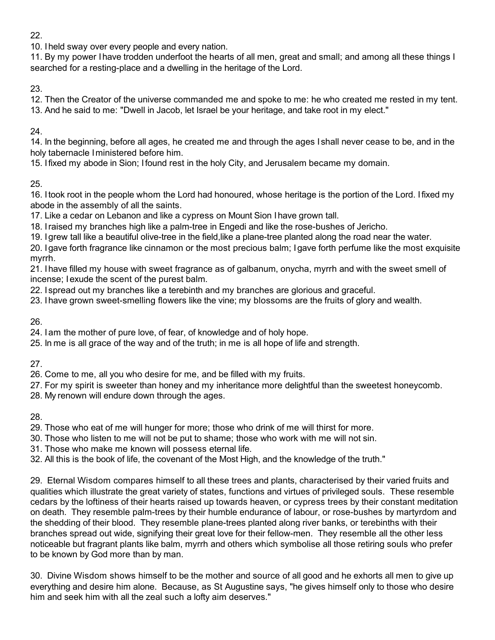22.

10. I held sway over every people and every nation.

11. By my power I have trodden underfoot the hearts of all men, great and small; and among all these things I searched for a resting-place and a dwelling in the heritage of the Lord.

23.

12. Then the Creator of the universe commanded me and spoke to me: he who created me rested in my tent. 13. And he said to me: "Dwell in Jacob, let Israel be your heritage, and take root in my elect."

24.

14. In the beginning, before all ages, he created me and through the ages I shall never cease to be, and in the holy tabernacle I ministered before him.

15. I fixed my abode in Sion; I found rest in the holy City, and Jerusalem became my domain.

25.

16. I took root in the people whom the Lord had honoured, whose heritage is the portion of the Lord. I fixed my abode in the assembly of all the saints.

17. Like a cedar on Lebanon and like a cypress on Mount Sion I have grown tall.

18. I raised my branches high like a palm-tree in Engedi and like the rose-bushes of Jericho.

19. I grew tall like a beautiful olive-tree in the field,like a plane-tree planted along the road near the water.

20. I gave forth fragrance like cinnamon or the most precious balm; I gave forth perfume like the most exquisite myrrh.

21. I have filled my house with sweet fragrance as of galbanum, onycha, myrrh and with the sweet smell of incense; I exude the scent of the purest balm.

22. I spread out my branches like a terebinth and my branches are glorious and graceful.

23. I have grown sweet-smelling flowers like the vine; my blossoms are the fruits of glory and wealth.

26.

24. I am the mother of pure love, of fear, of knowledge and of holy hope.

25. In me is all grace of the way and of the truth; in me is all hope of life and strength.

27.

26. Come to me, all you who desire for me, and be filled with my fruits.

27. For my spirit is sweeter than honey and my inheritance more delightful than the sweetest honeycomb.

28. My renown will endure down through the ages.

28.

29. Those who eat of me will hunger for more; those who drink of me will thirst for more.

30. Those who listen to me will not be put to shame; those who work with me will not sin.

31. Those who make me known will possess eternal life.

32. All this is the book of life, the covenant of the Most High, and the knowledge of the truth."

29. Eternal Wisdom compares himself to all these trees and plants, characterised by their varied fruits and qualities which illustrate the great variety of states, functions and virtues of privileged souls. These resemble cedars by the loftiness of their hearts raised up towards heaven, or cypress trees by their constant meditation on death. They resemble palm-trees by their humble endurance of labour, or rose-bushes by martyrdom and the shedding of their blood. They resemble plane-trees planted along river banks, or terebinths with their branches spread out wide, signifying their great love for their fellow-men. They resemble all the other less noticeable but fragrant plants like balm, myrrh and others which symbolise all those retiring souls who prefer to be known by God more than by man.

30. Divine Wisdom shows himself to be the mother and source of all good and he exhorts all men to give up everything and desire him alone. Because, as St Augustine says, "he gives himself only to those who desire him and seek him with all the zeal such a lofty aim deserves."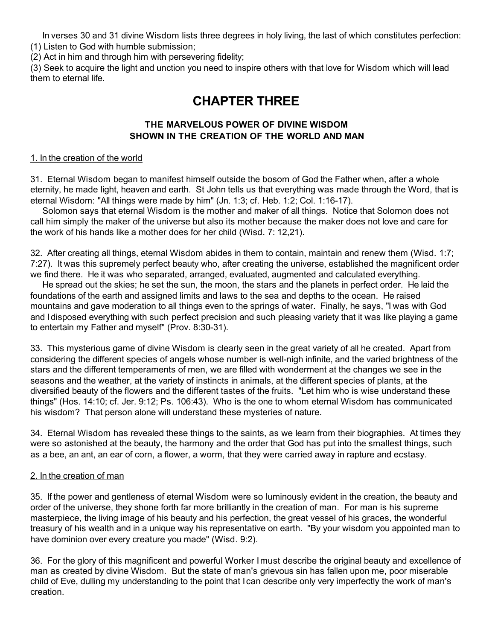In verses 30 and 31 divine Wisdom lists three degrees in holy living, the last of which constitutes perfection: (1) Listen to God with humble submission;

(2) Act in him and through him with persevering fidelity;

(3) Seek to acquire the light and unction you need to inspire others with that love for Wisdom which will lead them to eternal life.

# **CHAPTER THREE**

# **THE MARVELOUS POWER OF DIVINE WISDOM SHOWN IN THE CREATION OF THE WORLD AND MAN**

### 1. In the creation of the world

31. Eternal Wisdom began to manifest himself outside the bosom of God the Father when, after a whole eternity, he made light, heaven and earth. St John tells us that everything was made through the Word, that is eternal Wisdom: "All things were made by him" (Jn. 1:3; cf. Heb. 1:2; Col. 1:16-17).

Solomon says that eternal Wisdom is the mother and maker of all things. Notice that Solomon does not call him simply the maker of the universe but also its mother because the maker does not love and care for the work of his hands like a mother does for her child (Wisd. 7: 12,21).

32. After creating all things, eternal Wisdom abides in them to contain, maintain and renew them (Wisd. 1:7; 7:27). It was this supremely perfect beauty who, after creating the universe, established the magnificent order we find there. He it was who separated, arranged, evaluated, augmented and calculated everything.

He spread out the skies; he set the sun, the moon, the stars and the planets in perfect order. He laid the foundations of the earth and assigned limits and laws to the sea and depths to the ocean. He raised mountains and gave moderation to all things even to the springs of water. Finally, he says, "I was with God and I disposed everything with such perfect precision and such pleasing variety that it was like playing a game to entertain my Father and myself" (Prov. 8:30-31).

33. This mysterious game of divine Wisdom is clearly seen in the great variety of all he created. Apart from considering the different species of angels whose number is well-nigh infinite, and the varied brightness of the stars and the different temperaments of men, we are filled with wonderment at the changes we see in the seasons and the weather, at the variety of instincts in animals, at the different species of plants, at the diversified beauty of the flowers and the different tastes of the fruits. "Let him who is wise understand these things" (Hos. 14:10; cf. Jer. 9:12; Ps. 106:43). Who is the one to whom eternal Wisdom has communicated his wisdom? That person alone will understand these mysteries of nature.

34. Eternal Wisdom has revealed these things to the saints, as we learn from their biographies. At times they were so astonished at the beauty, the harmony and the order that God has put into the smallest things, such as a bee, an ant, an ear of corn, a flower, a worm, that they were carried away in rapture and ecstasy.

### 2. In the creation of man

35. If the power and gentleness of eternal Wisdom were so luminously evident in the creation, the beauty and order of the universe, they shone forth far more brilliantly in the creation of man. For man is his supreme masterpiece, the living image of his beauty and his perfection, the great vessel of his graces, the wonderful treasury of his wealth and in a unique way his representative on earth. "By your wisdom you appointed man to have dominion over every creature you made" (Wisd. 9:2).

36. For the glory of this magnificent and powerful Worker I must describe the original beauty and excellence of man as created by divine Wisdom. But the state of man's grievous sin has fallen upon me, poor miserable child of Eve, dulling my understanding to the point that I can describe only very imperfectly the work of man's creation.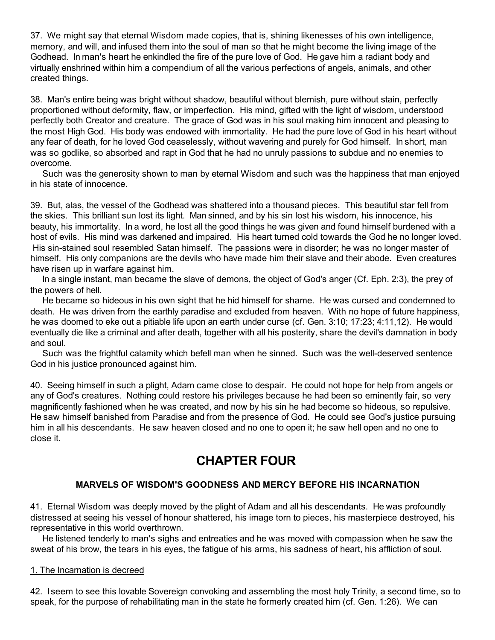37. We might say that eternal Wisdom made copies, that is, shining likenesses of his own intelligence, memory, and will, and infused them into the soul of man so that he might become the living image of the Godhead. In man's heart he enkindled the fire of the pure love of God. He gave him a radiant body and virtually enshrined within him a compendium of all the various perfections of angels, animals, and other created things.

38. Man's entire being was bright without shadow, beautiful without blemish, pure without stain, perfectly proportioned without deformity, flaw, or imperfection. His mind, gifted with the light of wisdom, understood perfectly both Creator and creature. The grace of God was in his soul making him innocent and pleasing to the most High God. His body was endowed with immortality. He had the pure love of God in his heart without any fear of death, for he loved God ceaselessly, without wavering and purely for God himself. In short, man was so godlike, so absorbed and rapt in God that he had no unruly passions to subdue and no enemies to overcome.

Such was the generosity shown to man by eternal Wisdom and such was the happiness that man enjoyed in his state of innocence.

39. But, alas, the vessel of the Godhead was shattered into a thousand pieces. This beautiful star fell from the skies. This brilliant sun lost its light. Man sinned, and by his sin lost his wisdom, his innocence, his beauty, his immortality. In a word, he lost all the good things he was given and found himself burdened with a host of evils. His mind was darkened and impaired. His heart turned cold towards the God he no longer loved. His sin-stained soul resembled Satan himself. The passions were in disorder; he was no longer master of himself. His only companions are the devils who have made him their slave and their abode. Even creatures have risen up in warfare against him.

In a single instant, man became the slave of demons, the object of God's anger (Cf. Eph. 2:3), the prey of the powers of hell.

He became so hideous in his own sight that he hid himself for shame. He was cursed and condemned to death. He was driven from the earthly paradise and excluded from heaven. With no hope of future happiness, he was doomed to eke out a pitiable life upon an earth under curse (cf. Gen. 3:10; 17:23; 4:11,12). He would eventually die like a criminal and after death, together with all his posterity, share the devil's damnation in body and soul.

Such was the frightful calamity which befell man when he sinned. Such was the well-deserved sentence God in his justice pronounced against him.

40. Seeing himself in such a plight, Adam came close to despair. He could not hope for help from angels or any of God's creatures. Nothing could restore his privileges because he had been so eminently fair, so very magnificently fashioned when he was created, and now by his sin he had become so hideous, so repulsive. He saw himself banished from Paradise and from the presence of God. He could see God's justice pursuing him in all his descendants. He saw heaven closed and no one to open it; he saw hell open and no one to close it.

# **CHAPTER FOUR**

# **MARVELS OF WISDOM'S GOODNESS AND MERCY BEFORE HIS INCARNATION**

41. Eternal Wisdom was deeply moved by the plight of Adam and all his descendants. He was profoundly distressed at seeing his vessel of honour shattered, his image torn to pieces, his masterpiece destroyed, his representative in this world overthrown.

He listened tenderly to man's sighs and entreaties and he was moved with compassion when he saw the sweat of his brow, the tears in his eyes, the fatigue of his arms, his sadness of heart, his affliction of soul.

### 1. The Incarnation is decreed

42. I seem to see this lovable Sovereign convoking and assembling the most holy Trinity, a second time, so to speak, for the purpose of rehabilitating man in the state he formerly created him (cf. Gen. 1:26). We can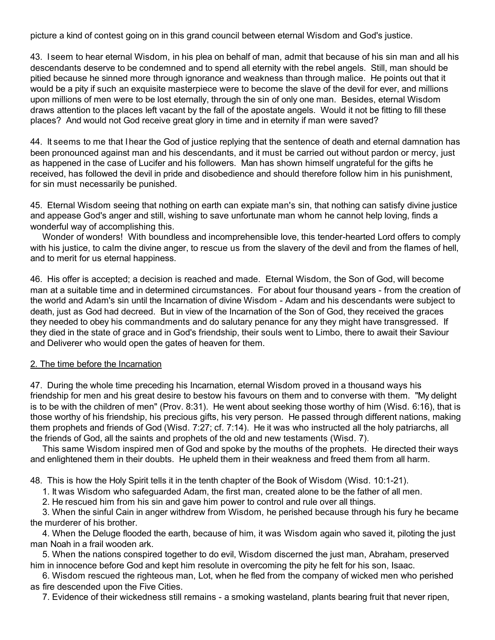picture a kind of contest going on in this grand council between eternal Wisdom and God's justice.

43. I seem to hear eternal Wisdom, in his plea on behalf of man, admit that because of his sin man and all his descendants deserve to be condemned and to spend all eternity with the rebel angels. Still, man should be pitied because he sinned more through ignorance and weakness than through malice. He points out that it would be a pity if such an exquisite masterpiece were to become the slave of the devil for ever, and millions upon millions of men were to be lost eternally, through the sin of only one man. Besides, eternal Wisdom draws attention to the places left vacant by the fall of the apostate angels. Would it not be fitting to fill these places? And would not God receive great glory in time and in eternity if man were saved?

44. It seems to me that I hear the God of justice replying that the sentence of death and eternal damnation has been pronounced against man and his descendants, and it must be carried out without pardon or mercy, just as happened in the case of Lucifer and his followers. Man has shown himself ungrateful for the gifts he received, has followed the devil in pride and disobedience and should therefore follow him in his punishment, for sin must necessarily be punished.

45. Eternal Wisdom seeing that nothing on earth can expiate man's sin, that nothing can satisfy divine justice and appease God's anger and still, wishing to save unfortunate man whom he cannot help loving, finds a wonderful way of accomplishing this.

Wonder of wonders! With boundless and incomprehensible love, this tender-hearted Lord offers to comply with his justice, to calm the divine anger, to rescue us from the slavery of the devil and from the flames of hell, and to merit for us eternal happiness.

46. His offer is accepted; a decision is reached and made. Eternal Wisdom, the Son of God, will become man at a suitable time and in determined circumstances. For about four thousand years - from the creation of the world and Adam's sin until the Incarnation of divine Wisdom - Adam and his descendants were subject to death, just as God had decreed. But in view of the Incarnation of the Son of God, they received the graces they needed to obey his commandments and do salutary penance for any they might have transgressed. If they died in the state of grace and in God's friendship, their souls went to Limbo, there to await their Saviour and Deliverer who would open the gates of heaven for them.

### 2. The time before the Incarnation

47. During the whole time preceding his Incarnation, eternal Wisdom proved in a thousand ways his friendship for men and his great desire to bestow his favours on them and to converse with them. "My delight is to be with the children of men" (Prov. 8:31). He went about seeking those worthy of him (Wisd. 6:16), that is those worthy of his friendship, his precious gifts, his very person. He passed through different nations, making them prophets and friends of God (Wisd. 7:27; cf. 7:14). He it was who instructed all the holy patriarchs, all the friends of God, all the saints and prophets of the old and new testaments (Wisd. 7).

This same Wisdom inspired men of God and spoke by the mouths of the prophets. He directed their ways and enlightened them in their doubts. He upheld them in their weakness and freed them from all harm.

48. This is how the Holy Spirit tells it in the tenth chapter of the Book of Wisdom (Wisd. 10:1-21).

1. It was Wisdom who safeguarded Adam, the first man, created alone to be the father of all men.

2. He rescued him from his sin and gave him power to control and rule over all things.

3. When the sinful Cain in anger withdrew from Wisdom, he perished because through his fury he became the murderer of his brother.

4. When the Deluge flooded the earth, because of him, it was Wisdom again who saved it, piloting the just man Noah in a frail wooden ark.

5. When the nations conspired together to do evil, Wisdom discerned the just man, Abraham, preserved him in innocence before God and kept him resolute in overcoming the pity he felt for his son, Isaac.

6. Wisdom rescued the righteous man, Lot, when he fled from the company of wicked men who perished as fire descended upon the Five Cities.

7. Evidence of their wickedness still remains - a smoking wasteland, plants bearing fruit that never ripen,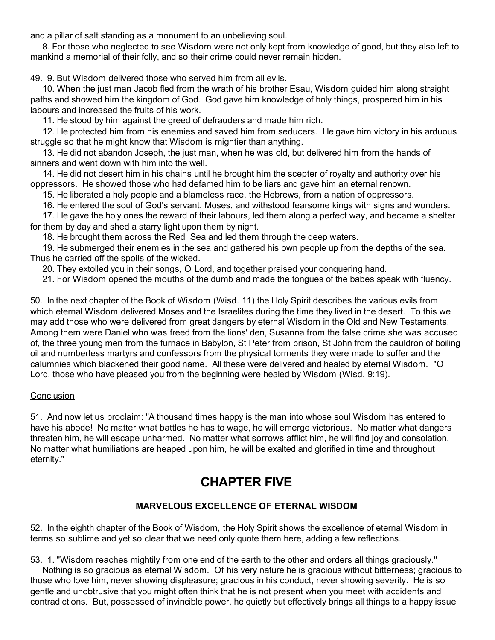and a pillar of salt standing as a monument to an unbelieving soul.

8. For those who neglected to see Wisdom were not only kept from knowledge of good, but they also left to mankind a memorial of their folly, and so their crime could never remain hidden.

49. 9. But Wisdom delivered those who served him from all evils.

10. When the just man Jacob fled from the wrath of his brother Esau, Wisdom guided him along straight paths and showed him the kingdom of God. God gave him knowledge of holy things, prospered him in his labours and increased the fruits of his work.

11. He stood by him against the greed of defrauders and made him rich.

12. He protected him from his enemies and saved him from seducers. He gave him victory in his arduous struggle so that he might know that Wisdom is mightier than anything.

13. He did not abandon Joseph, the just man, when he was old, but delivered him from the hands of sinners and went down with him into the well.

14. He did not desert him in his chains until he brought him the scepter of royalty and authority over his oppressors. He showed those who had defamed him to be liars and gave him an eternal renown.

15. He liberated a holy people and a blameless race, the Hebrews, from a nation of oppressors.

16. He entered the soul of God's servant, Moses, and withstood fearsome kings with signs and wonders.

17. He gave the holy ones the reward of their labours, led them along a perfect way, and became a shelter for them by day and shed a starry light upon them by night.

18. He brought them across the Red Sea and led them through the deep waters.

19. He submerged their enemies in the sea and gathered his own people up from the depths of the sea. Thus he carried off the spoils of the wicked.

20. They extolled you in their songs, O Lord, and together praised your conquering hand.

21. For Wisdom opened the mouths of the dumb and made the tongues of the babes speak with fluency.

50. In the next chapter of the Book of Wisdom (Wisd. 11) the Holy Spirit describes the various evils from which eternal Wisdom delivered Moses and the Israelites during the time they lived in the desert. To this we may add those who were delivered from great dangers by eternal Wisdom in the Old and New Testaments. Among them were Daniel who was freed from the lions' den, Susanna from the false crime she was accused of, the three young men from the furnace in Babylon, St Peter from prison, St John from the cauldron of boiling oil and numberless martyrs and confessors from the physical torments they were made to suffer and the calumnies which blackened their good name. All these were delivered and healed by eternal Wisdom. "O Lord, those who have pleased you from the beginning were healed by Wisdom (Wisd. 9:19).

### **Conclusion**

51. And now let us proclaim: "A thousand times happy is the man into whose soul Wisdom has entered to have his abode! No matter what battles he has to wage, he will emerge victorious. No matter what dangers threaten him, he will escape unharmed. No matter what sorrows afflict him, he will find joy and consolation. No matter what humiliations are heaped upon him, he will be exalted and glorified in time and throughout eternity."

# **CHAPTER FIVE**

# **MARVELOUS EXCELLENCE OF ETERNAL WISDOM**

52. In the eighth chapter of the Book of Wisdom, the Holy Spirit shows the excellence of eternal Wisdom in terms so sublime and yet so clear that we need only quote them here, adding a few reflections.

53. 1. "Wisdom reaches mightily from one end of the earth to the other and orders all things graciously." Nothing is so gracious as eternal Wisdom. Of his very nature he is gracious without bitterness; gracious to those who love him, never showing displeasure; gracious in his conduct, never showing severity. He is so

gentle and unobtrusive that you might often think that he is not present when you meet with accidents and contradictions. But, possessed of invincible power, he quietly but effectively brings all things to a happy issue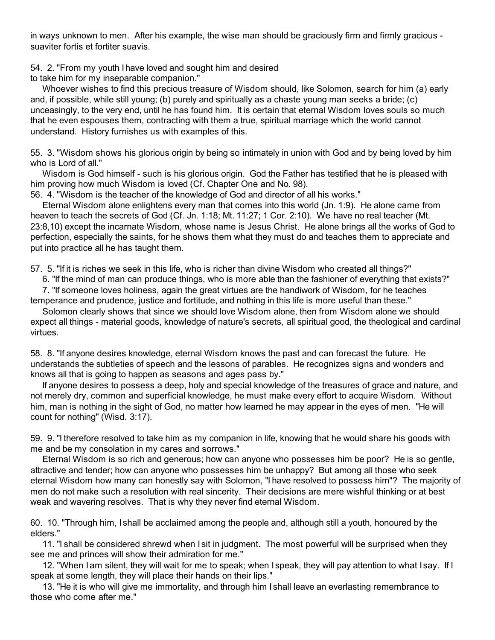in ways unknown to men. After his example, the wise man should be graciously firm and firmly gracious suaviter fortis et fortiter suavis.

54. 2. "From my youth I have loved and sought him and desired

to take him for my inseparable companion."

Whoever wishes to find this precious treasure of Wisdom should, like Solomon, search for him (a) early and, if possible, while still young; (b) purely and spiritually as a chaste young man seeks a bride; (c) unceasingly, to the very end, until he has found him. It is certain that eternal Wisdom loves souls so much that he even espouses them, contracting with them a true, spiritual marriage which the world cannot understand. History furnishes us with examples of this.

55. 3. "Wisdom shows his glorious origin by being so intimately in union with God and by being loved by him who is Lord of all."

Wisdom is God himself - such is his glorious origin. God the Father has testified that he is pleased with him proving how much Wisdom is loved (Cf. Chapter One and No. 98).

56. 4. "Wisdom is the teacher of the knowledge of God and director of all his works."

Eternal Wisdom alone enlightens every man that comes into this world (Jn. 1:9). He alone came from heaven to teach the secrets of God (Cf. Jn. 1:18; Mt. 11:27; 1 Cor. 2:10). We have no real teacher (Mt. 23:8,10) except the incarnate Wisdom, whose name is Jesus Christ. He alone brings all the works of God to perfection, especially the saints, for he shows them what they must do and teaches them to appreciate and put into practice all he has taught them.

57. 5. "If it is riches we seek in this life, who is richer than divine Wisdom who created all things?"

6. "If the mind of man can produce things, who is more able than the fashioner of everything that exists?" 7. "If someone loves holiness, again the great virtues are the handiwork of Wisdom, for he teaches

temperance and prudence, justice and fortitude, and nothing in this life is more useful than these."

Solomon clearly shows that since we should love Wisdom alone, then from Wisdom alone we should expect all things - material goods, knowledge of nature's secrets, all spiritual good, the theological and cardinal virtues.

58. 8. "If anyone desires knowledge, eternal Wisdom knows the past and can forecast the future. He understands the subtleties of speech and the lessons of parables. He recognizes signs and wonders and knows all that is going to happen as seasons and ages pass by."

If anyone desires to possess a deep, holy and special knowledge of the treasures of grace and nature, and not merely dry, common and superficial knowledge, he must make every effort to acquire Wisdom. Without him, man is nothing in the sight of God, no matter how learned he may appear in the eyes of men. "He will count for nothing" (Wisd. 3:17).

59. 9. "I therefore resolved to take him as my companion in life, knowing that he would share his goods with me and be my consolation in my cares and sorrows."

Eternal Wisdom is so rich and generous; how can anyone who possesses him be poor? He is so gentle, attractive and tender; how can anyone who possesses him be unhappy? But among all those who seek eternal Wisdom how many can honestly say with Solomon, "I have resolved to possess him"? The majority of men do not make such a resolution with real sincerity. Their decisions are mere wishful thinking or at best weak and wavering resolves. That is why they never find eternal Wisdom.

60. 10. "Through him, I shall be acclaimed among the people and, although still a youth, honoured by the elders."

11. "I shall be considered shrewd when I sit in judgment. The most powerful will be surprised when they see me and princes will show their admiration for me."

12. "When I am silent, they will wait for me to speak; when I speak, they will pay attention to what I say. If I speak at some length, they will place their hands on their lips."

13. "He it is who will give me immortality, and through him I shall leave an everlasting remembrance to those who come after me."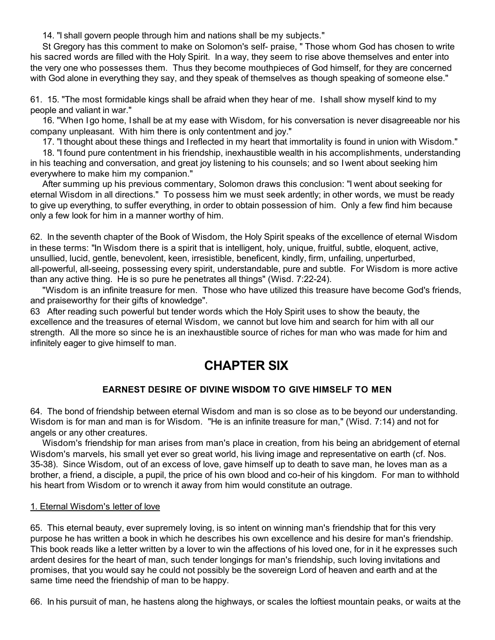14. "I shall govern people through him and nations shall be my subjects."

St Gregory has this comment to make on Solomon's self- praise, " Those whom God has chosen to write his sacred words are filled with the Holy Spirit. In a way, they seem to rise above themselves and enter into the very one who possesses them. Thus they become mouthpieces of God himself, for they are concerned with God alone in everything they say, and they speak of themselves as though speaking of someone else."

61. 15. "The most formidable kings shall be afraid when they hear of me. I shall show myself kind to my people and valiant in war."

16. "When I go home, I shall be at my ease with Wisdom, for his conversation is never disagreeable nor his company unpleasant. With him there is only contentment and joy."

17. "I thought about these things and I reflected in my heart that immortality is found in union with Wisdom."

18. "I found pure contentment in his friendship, inexhaustible wealth in his accomplishments, understanding in his teaching and conversation, and great joy listening to his counsels; and so I went about seeking him everywhere to make him my companion."

After summing up his previous commentary, Solomon draws this conclusion: "I went about seeking for eternal Wisdom in all directions." To possess him we must seek ardently; in other words, we must be ready to give up everything, to suffer everything, in order to obtain possession of him. Only a few find him because only a few look for him in a manner worthy of him.

62. In the seventh chapter of the Book of Wisdom, the Holy Spirit speaks of the excellence of eternal Wisdom in these terms: "In Wisdom there is a spirit that is intelligent, holy, unique, fruitful, subtle, eloquent, active, unsullied, lucid, gentle, benevolent, keen, irresistible, beneficent, kindly, firm, unfailing, unperturbed, all-powerful, all-seeing, possessing every spirit, understandable, pure and subtle. For Wisdom is more active than any active thing. He is so pure he penetrates all things" (Wisd. 7:22-24).

"Wisdom is an infinite treasure for men. Those who have utilized this treasure have become God's friends, and praiseworthy for their gifts of knowledge".

63 After reading such powerful but tender words which the Holy Spirit uses to show the beauty, the excellence and the treasures of eternal Wisdom, we cannot but love him and search for him with all our strength. All the more so since he is an inexhaustible source of riches for man who was made for him and infinitely eager to give himself to man.

# **CHAPTER SIX**

# **EARNEST DESIRE OF DIVINE WISDOM TO GIVE HIMSELF TO MEN**

64. The bond of friendship between eternal Wisdom and man is so close as to be beyond our understanding. Wisdom is for man and man is for Wisdom. "He is an infinite treasure for man," (Wisd. 7:14) and not for angels or any other creatures.

Wisdom's friendship for man arises from man's place in creation, from his being an abridgement of eternal Wisdom's marvels, his small yet ever so great world, his living image and representative on earth (cf. Nos. 35-38). Since Wisdom, out of an excess of love, gave himself up to death to save man, he loves man as a brother, a friend, a disciple, a pupil, the price of his own blood and co-heir of his kingdom. For man to withhold his heart from Wisdom or to wrench it away from him would constitute an outrage.

### 1. Eternal Wisdom's letter of love

65. This eternal beauty, ever supremely loving, is so intent on winning man's friendship that for this very purpose he has written a book in which he describes his own excellence and his desire for man's friendship. This book reads like a letter written by a lover to win the affections of his loved one, for in it he expresses such ardent desires for the heart of man, such tender longings for man's friendship, such loving invitations and promises, that you would say he could not possibly be the sovereign Lord of heaven and earth and at the same time need the friendship of man to be happy.

66. In his pursuit of man, he hastens along the highways, or scales the loftiest mountain peaks, or waits at the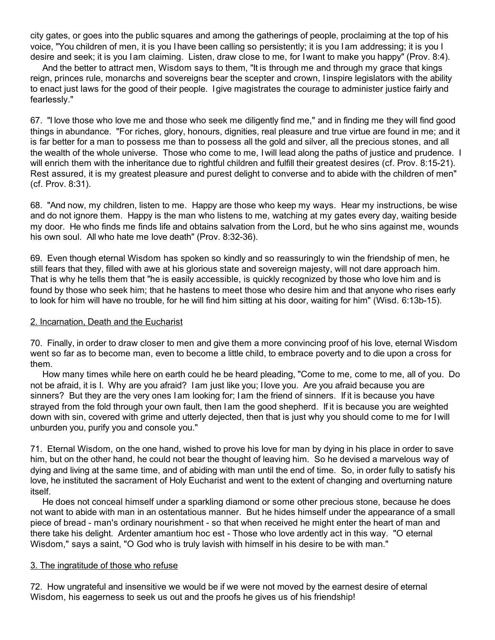city gates, or goes into the public squares and among the gatherings of people, proclaiming at the top of his voice, "You children of men, it is you I have been calling so persistently; it is you I am addressing; it is you I desire and seek; it is you I am claiming. Listen, draw close to me, for I want to make you happy" (Prov. 8:4).

And the better to attract men, Wisdom says to them, "It is through me and through my grace that kings reign, princes rule, monarchs and sovereigns bear the scepter and crown, I inspire legislators with the ability to enact just laws for the good of their people. I give magistrates the courage to administer justice fairly and fearlessly."

67. "I love those who love me and those who seek me diligently find me," and in finding me they will find good things in abundance. "For riches, glory, honours, dignities, real pleasure and true virtue are found in me; and it is far better for a man to possess me than to possess all the gold and silver, all the precious stones, and all the wealth of the whole universe. Those who come to me, I will lead along the paths of justice and prudence. I will enrich them with the inheritance due to rightful children and fulfill their greatest desires (cf. Prov. 8:15-21). Rest assured, it is my greatest pleasure and purest delight to converse and to abide with the children of men" (cf. Prov. 8:31).

68. "And now, my children, listen to me. Happy are those who keep my ways. Hear my instructions, be wise and do not ignore them. Happy is the man who listens to me, watching at my gates every day, waiting beside my door. He who finds me finds life and obtains salvation from the Lord, but he who sins against me, wounds his own soul. All who hate me love death" (Prov. 8:32-36).

69. Even though eternal Wisdom has spoken so kindly and so reassuringly to win the friendship of men, he still fears that they, filled with awe at his glorious state and sovereign majesty, will not dare approach him. That is why he tells them that "he is easily accessible, is quickly recognized by those who love him and is found by those who seek him; that he hastens to meet those who desire him and that anyone who rises early to look for him will have no trouble, for he will find him sitting at his door, waiting for him" (Wisd. 6:13b-15).

### 2. Incarnation, Death and the Eucharist

70. Finally, in order to draw closer to men and give them a more convincing proof of his love, eternal Wisdom went so far as to become man, even to become a little child, to embrace poverty and to die upon a cross for them.

How many times while here on earth could he be heard pleading, "Come to me, come to me, all of you. Do not be afraid, it is I. Why are you afraid? I am just like you; I love you. Are you afraid because you are sinners? But they are the very ones I am looking for; I am the friend of sinners. If it is because you have strayed from the fold through your own fault, then I am the good shepherd. If it is because you are weighted down with sin, covered with grime and utterly dejected, then that is just why you should come to me for I will unburden you, purify you and console you."

71. Eternal Wisdom, on the one hand, wished to prove his love for man by dying in his place in order to save him, but on the other hand, he could not bear the thought of leaving him. So he devised a marvelous way of dying and living at the same time, and of abiding with man until the end of time. So, in order fully to satisfy his love, he instituted the sacrament of Holy Eucharist and went to the extent of changing and overturning nature itself.

He does not conceal himself under a sparkling diamond or some other precious stone, because he does not want to abide with man in an ostentatious manner. But he hides himself under the appearance of a small piece of bread - man's ordinary nourishment - so that when received he might enter the heart of man and there take his delight. Ardenter amantium hoc est - Those who love ardently act in this way. "O eternal Wisdom," says a saint, "O God who is truly lavish with himself in his desire to be with man."

### 3. The ingratitude of those who refuse

72. How ungrateful and insensitive we would be if we were not moved by the earnest desire of eternal Wisdom, his eagerness to seek us out and the proofs he gives us of his friendship!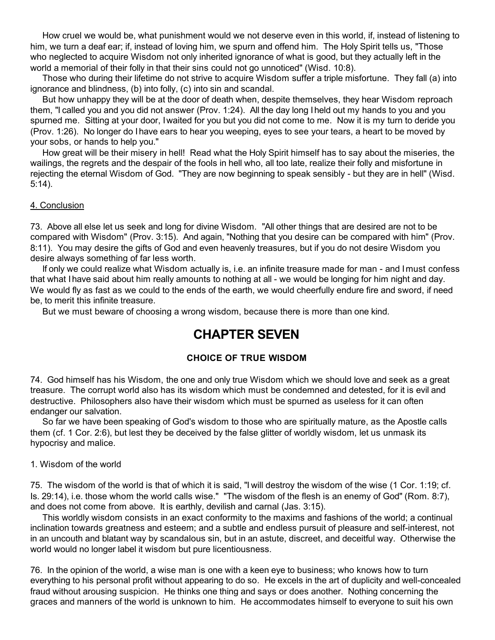How cruel we would be, what punishment would we not deserve even in this world, if, instead of listening to him, we turn a deaf ear; if, instead of loving him, we spurn and offend him. The Holy Spirit tells us, "Those who neglected to acquire Wisdom not only inherited ignorance of what is good, but they actually left in the world a memorial of their folly in that their sins could not go unnoticed" (Wisd. 10:8).

Those who during their lifetime do not strive to acquire Wisdom suffer a triple misfortune. They fall (a) into ignorance and blindness, (b) into folly, (c) into sin and scandal.

But how unhappy they will be at the door of death when, despite themselves, they hear Wisdom reproach them, "I called you and you did not answer (Prov. 1:24). All the day long I held out my hands to you and you spurned me. Sitting at your door, I waited for you but you did not come to me. Now it is my turn to deride you (Prov. 1:26). No longer do I have ears to hear you weeping, eyes to see your tears, a heart to be moved by your sobs, or hands to help you."

How great will be their misery in hell! Read what the Holy Spirit himself has to say about the miseries, the wailings, the regrets and the despair of the fools in hell who, all too late, realize their folly and misfortune in rejecting the eternal Wisdom of God. "They are now beginning to speak sensibly - but they are in hell" (Wisd. 5:14).

### 4. Conclusion

73. Above all else let us seek and long for divine Wisdom. "All other things that are desired are not to be compared with Wisdom" (Prov. 3:15). And again, "Nothing that you desire can be compared with him" (Prov. 8:11). You may desire the gifts of God and even heavenly treasures, but if you do not desire Wisdom you desire always something of far less worth.

If only we could realize what Wisdom actually is, i.e. an infinite treasure made for man - and I must confess that what I have said about him really amounts to nothing at all - we would be longing for him night and day. We would fly as fast as we could to the ends of the earth, we would cheerfully endure fire and sword, if need be, to merit this infinite treasure.

But we must beware of choosing a wrong wisdom, because there is more than one kind.

# **CHAPTER SEVEN**

# **CHOICE OF TRUE WISDOM**

74. God himself has his Wisdom, the one and only true Wisdom which we should love and seek as a great treasure. The corrupt world also has its wisdom which must be condemned and detested, for it is evil and destructive. Philosophers also have their wisdom which must be spurned as useless for it can often endanger our salvation.

So far we have been speaking of God's wisdom to those who are spiritually mature, as the Apostle calls them (cf. 1 Cor. 2:6), but lest they be deceived by the false glitter of worldly wisdom, let us unmask its hypocrisy and malice.

### 1. Wisdom of the world

75. The wisdom of the world is that of which it is said, "I will destroy the wisdom of the wise (1 Cor. 1:19; cf. Is. 29:14), i.e. those whom the world calls wise." "The wisdom of the flesh is an enemy of God" (Rom. 8:7), and does not come from above. It is earthly, devilish and carnal (Jas. 3:15).

This worldly wisdom consists in an exact conformity to the maxims and fashions of the world; a continual inclination towards greatness and esteem; and a subtle and endless pursuit of pleasure and self-interest, not in an uncouth and blatant way by scandalous sin, but in an astute, discreet, and deceitful way. Otherwise the world would no longer label it wisdom but pure licentiousness.

76. In the opinion of the world, a wise man is one with a keen eye to business; who knows how to turn everything to his personal profit without appearing to do so. He excels in the art of duplicity and well-concealed fraud without arousing suspicion. He thinks one thing and says or does another. Nothing concerning the graces and manners of the world is unknown to him. He accommodates himself to everyone to suit his own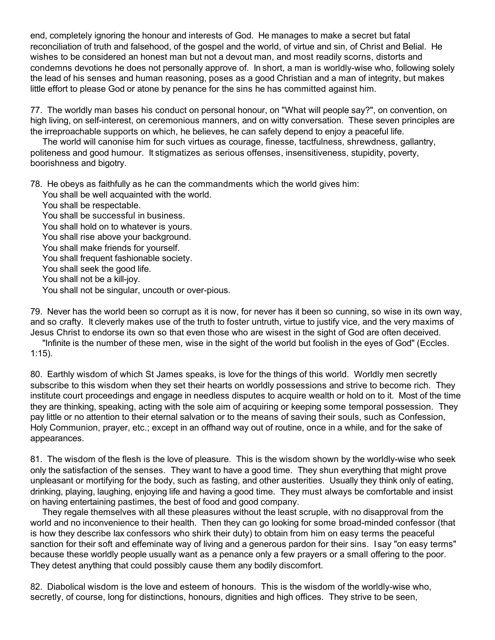end, completely ignoring the honour and interests of God. He manages to make a secret but fatal reconciliation of truth and falsehood, of the gospel and the world, of virtue and sin, of Christ and Belial. He wishes to be considered an honest man but not a devout man, and most readily scorns, distorts and condemns devotions he does not personally approve of. In short, a man is worldly-wise who, following solely the lead of his senses and human reasoning, poses as a good Christian and a man of integrity, but makes little effort to please God or atone by penance for the sins he has committed against him.

77. The worldly man bases his conduct on personal honour, on "What will people say?", on convention, on high living, on self-interest, on ceremonious manners, and on witty conversation. These seven principles are the irreproachable supports on which, he believes, he can safely depend to enjoy a peaceful life.

The world will canonise him for such virtues as courage, finesse, tactfulness, shrewdness, gallantry, politeness and good humour. It stigmatizes as serious offenses, insensitiveness, stupidity, poverty, boorishness and bigotry.

78. He obeys as faithfully as he can the commandments which the world gives him:

You shall be well acquainted with the world.

You shall be respectable.

You shall be successful in business.

You shall hold on to whatever is yours.

You shall rise above your background.

You shall make friends for yourself.

You shall frequent fashionable society.

You shall seek the good life.

You shall not be a kill-joy.

You shall not be singular, uncouth or over-pious.

79. Never has the world been so corrupt as it is now, for never has it been so cunning, so wise in its own way, and so crafty. It cleverly makes use of the truth to foster untruth, virtue to justify vice, and the very maxims of Jesus Christ to endorse its own so that even those who are wisest in the sight of God are often deceived.

"Infinite is the number of these men, wise in the sight of the world but foolish in the eyes of God" (Eccles. 1:15).

80. Earthly wisdom of which St James speaks, is love for the things of this world. Worldly men secretly subscribe to this wisdom when they set their hearts on worldly possessions and strive to become rich. They institute court proceedings and engage in needless disputes to acquire wealth or hold on to it. Most of the time they are thinking, speaking, acting with the sole aim of acquiring or keeping some temporal possession. They pay little or no attention to their eternal salvation or to the means of saving their souls, such as Confession, Holy Communion, prayer, etc.; except in an offhand way out of routine, once in a while, and for the sake of appearances.

81. The wisdom of the flesh is the love of pleasure. This is the wisdom shown by the worldly-wise who seek only the satisfaction of the senses. They want to have a good time. They shun everything that might prove unpleasant or mortifying for the body, such as fasting, and other austerities. Usually they think only of eating, drinking, playing, laughing, enjoying life and having a good time. They must always be comfortable and insist on having entertaining pastimes, the best of food and good company.

They regale themselves with all these pleasures without the least scruple, with no disapproval from the world and no inconvenience to their health. Then they can go looking for some broad-minded confessor (that is how they describe lax confessors who shirk their duty) to obtain from him on easy terms the peaceful sanction for their soft and effeminate way of living and a generous pardon for their sins. I say "on easy terms" because these worldly people usually want as a penance only a few prayers or a small offering to the poor. They detest anything that could possibly cause them any bodily discomfort.

82. Diabolical wisdom is the love and esteem of honours. This is the wisdom of the worldly-wise who, secretly, of course, long for distinctions, honours, dignities and high offices. They strive to be seen,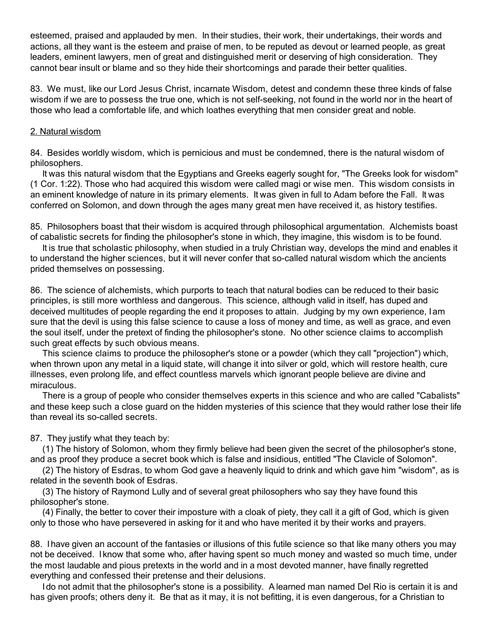esteemed, praised and applauded by men. In their studies, their work, their undertakings, their words and actions, all they want is the esteem and praise of men, to be reputed as devout or learned people, as great leaders, eminent lawyers, men of great and distinguished merit or deserving of high consideration. They cannot bear insult or blame and so they hide their shortcomings and parade their better qualities.

83. We must, like our Lord Jesus Christ, incarnate Wisdom, detest and condemn these three kinds of false wisdom if we are to possess the true one, which is not self-seeking, not found in the world nor in the heart of those who lead a comfortable life, and which loathes everything that men consider great and noble.

#### 2. Natural wisdom

84. Besides worldly wisdom, which is pernicious and must be condemned, there is the natural wisdom of philosophers.

It was this natural wisdom that the Egyptians and Greeks eagerly sought for, "The Greeks look for wisdom" (1 Cor. 1:22). Those who had acquired this wisdom were called magi or wise men. This wisdom consists in an eminent knowledge of nature in its primary elements. It was given in full to Adam before the Fall. It was conferred on Solomon, and down through the ages many great men have received it, as history testifies.

85. Philosophers boast that their wisdom is acquired through philosophical argumentation. Alchemists boast of cabalistic secrets for finding the philosopher's stone in which, they imagine, this wisdom is to be found.

It is true that scholastic philosophy, when studied in a truly Christian way, develops the mind and enables it to understand the higher sciences, but it will never confer that so-called natural wisdom which the ancients prided themselves on possessing.

86. The science of alchemists, which purports to teach that natural bodies can be reduced to their basic principles, is still more worthless and dangerous. This science, although valid in itself, has duped and deceived multitudes of people regarding the end it proposes to attain. Judging by my own experience, I am sure that the devil is using this false science to cause a loss of money and time, as well as grace, and even the soul itself, under the pretext of finding the philosopher's stone. No other science claims to accomplish such great effects by such obvious means.

This science claims to produce the philosopher's stone or a powder (which they call "projection") which, when thrown upon any metal in a liquid state, will change it into silver or gold, which will restore health, cure illnesses, even prolong life, and effect countless marvels which ignorant people believe are divine and miraculous.

There is a group of people who consider themselves experts in this science and who are called "Cabalists" and these keep such a close guard on the hidden mysteries of this science that they would rather lose their life than reveal its so-called secrets.

### 87. They justify what they teach by:

(1) The history of Solomon, whom they firmly believe had been given the secret of the philosopher's stone, and as proof they produce a secret book which is false and insidious, entitled "The Clavicle of Solomon".

(2) The history of Esdras, to whom God gave a heavenly liquid to drink and which gave him "wisdom", as is related in the seventh book of Esdras.

(3) The history of Raymond Lully and of several great philosophers who say they have found this philosopher's stone.

(4) Finally, the better to cover their imposture with a cloak of piety, they call it a gift of God, which is given only to those who have persevered in asking for it and who have merited it by their works and prayers.

88. I have given an account of the fantasies or illusions of this futile science so that like many others you may not be deceived. I know that some who, after having spent so much money and wasted so much time, under the most laudable and pious pretexts in the world and in a most devoted manner, have finally regretted everything and confessed their pretense and their delusions.

I do not admit that the philosopher's stone is a possibility. A learned man named Del Rio is certain it is and has given proofs; others deny it. Be that as it may, it is not befitting, it is even dangerous, for a Christian to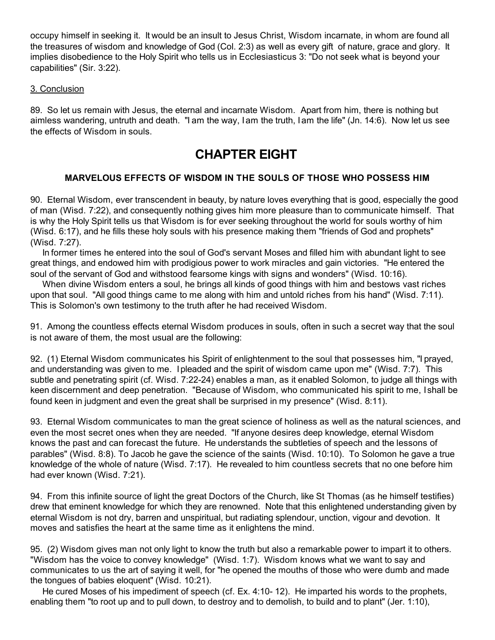occupy himself in seeking it. It would be an insult to Jesus Christ, Wisdom incarnate, in whom are found all the treasures of wisdom and knowledge of God (Col. 2:3) as well as every gift of nature, grace and glory. It implies disobedience to the Holy Spirit who tells us in Ecclesiasticus 3: "Do not seek what is beyond your capabilities" (Sir. 3:22).

### 3. Conclusion

89. So let us remain with Jesus, the eternal and incarnate Wisdom. Apart from him, there is nothing but aimless wandering, untruth and death. "I am the way, I am the truth, I am the life" (Jn. 14:6). Now let us see the effects of Wisdom in souls.

# **CHAPTER EIGHT**

## **MARVELOUS EFFECTS OF WISDOM IN THE SOULS OF THOSE WHO POSSESS HIM**

90. Eternal Wisdom, ever transcendent in beauty, by nature loves everything that is good, especially the good of man (Wisd. 7:22), and consequently nothing gives him more pleasure than to communicate himself. That is why the Holy Spirit tells us that Wisdom is for ever seeking throughout the world for souls worthy of him (Wisd. 6:17), and he fills these holy souls with his presence making them "friends of God and prophets" (Wisd. 7:27).

In former times he entered into the soul of God's servant Moses and filled him with abundant light to see great things, and endowed him with prodigious power to work miracles and gain victories. "He entered the soul of the servant of God and withstood fearsome kings with signs and wonders" (Wisd. 10:16).

When divine Wisdom enters a soul, he brings all kinds of good things with him and bestows vast riches upon that soul. "All good things came to me along with him and untold riches from his hand" (Wisd. 7:11). This is Solomon's own testimony to the truth after he had received Wisdom.

91. Among the countless effects eternal Wisdom produces in souls, often in such a secret way that the soul is not aware of them, the most usual are the following:

92. (1) Eternal Wisdom communicates his Spirit of enlightenment to the soul that possesses him, "I prayed, and understanding was given to me. I pleaded and the spirit of wisdom came upon me" (Wisd. 7:7). This subtle and penetrating spirit (cf. Wisd. 7:22-24) enables a man, as it enabled Solomon, to judge all things with keen discernment and deep penetration. "Because of Wisdom, who communicated his spirit to me, I shall be found keen in judgment and even the great shall be surprised in my presence" (Wisd. 8:11).

93. Eternal Wisdom communicates to man the great science of holiness as well as the natural sciences, and even the most secret ones when they are needed. "If anyone desires deep knowledge, eternal Wisdom knows the past and can forecast the future. He understands the subtleties of speech and the lessons of parables" (Wisd. 8:8). To Jacob he gave the science of the saints (Wisd. 10:10). To Solomon he gave a true knowledge of the whole of nature (Wisd. 7:17). He revealed to him countless secrets that no one before him had ever known (Wisd. 7:21).

94. From this infinite source of light the great Doctors of the Church, like St Thomas (as he himself testifies) drew that eminent knowledge for which they are renowned. Note that this enlightened understanding given by eternal Wisdom is not dry, barren and unspiritual, but radiating splendour, unction, vigour and devotion. It moves and satisfies the heart at the same time as it enlightens the mind.

95. (2) Wisdom gives man not only light to know the truth but also a remarkable power to impart it to others. "Wisdom has the voice to convey knowledge" (Wisd. 1:7). Wisdom knows what we want to say and communicates to us the art of saying it well, for "he opened the mouths of those who were dumb and made the tongues of babies eloquent" (Wisd. 10:21).

He cured Moses of his impediment of speech (cf. Ex. 4:10- 12). He imparted his words to the prophets, enabling them "to root up and to pull down, to destroy and to demolish, to build and to plant" (Jer. 1:10),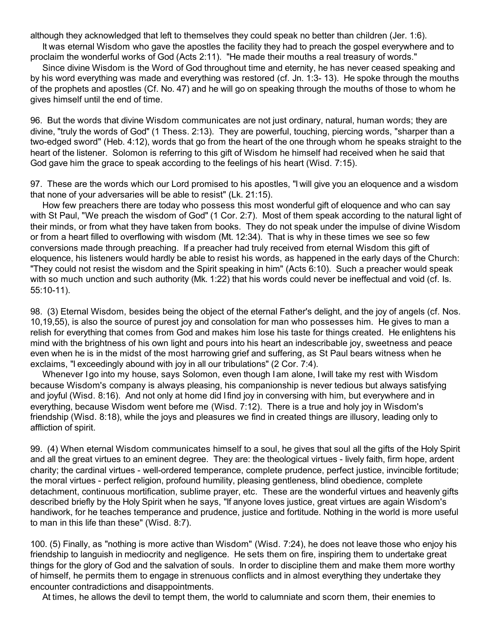although they acknowledged that left to themselves they could speak no better than children (Jer. 1:6).

It was eternal Wisdom who gave the apostles the facility they had to preach the gospel everywhere and to proclaim the wonderful works of God (Acts 2:11). "He made their mouths a real treasury of words."

Since divine Wisdom is the Word of God throughout time and eternity, he has never ceased speaking and by his word everything was made and everything was restored (cf. Jn. 1:3- 13). He spoke through the mouths of the prophets and apostles (Cf. No. 47) and he will go on speaking through the mouths of those to whom he gives himself until the end of time.

96. But the words that divine Wisdom communicates are not just ordinary, natural, human words; they are divine, "truly the words of God" (1 Thess. 2:13). They are powerful, touching, piercing words, "sharper than a two-edged sword" (Heb. 4:12), words that go from the heart of the one through whom he speaks straight to the heart of the listener. Solomon is referring to this gift of Wisdom he himself had received when he said that God gave him the grace to speak according to the feelings of his heart (Wisd. 7:15).

97. These are the words which our Lord promised to his apostles, "I will give you an eloquence and a wisdom that none of your adversaries will be able to resist" (Lk. 21:15).

How few preachers there are today who possess this most wonderful gift of eloquence and who can say with St Paul, "We preach the wisdom of God" (1 Cor. 2:7). Most of them speak according to the natural light of their minds, or from what they have taken from books. They do not speak under the impulse of divine Wisdom or from a heart filled to overflowing with wisdom (Mt. 12:34). That is why in these times we see so few conversions made through preaching. If a preacher had truly received from eternal Wisdom this gift of eloquence, his listeners would hardly be able to resist his words, as happened in the early days of the Church: "They could not resist the wisdom and the Spirit speaking in him" (Acts 6:10). Such a preacher would speak with so much unction and such authority (Mk. 1:22) that his words could never be ineffectual and void (cf. Is. 55:10-11).

98. (3) Eternal Wisdom, besides being the object of the eternal Father's delight, and the joy of angels (cf. Nos. 10,19,55), is also the source of purest joy and consolation for man who possesses him. He gives to man a relish for everything that comes from God and makes him lose his taste for things created. He enlightens his mind with the brightness of his own light and pours into his heart an indescribable joy, sweetness and peace even when he is in the midst of the most harrowing grief and suffering, as St Paul bears witness when he exclaims, "I exceedingly abound with joy in all our tribulations" (2 Cor. 7:4).

Whenever I go into my house, says Solomon, even though I am alone, I will take my rest with Wisdom because Wisdom's company is always pleasing, his companionship is never tedious but always satisfying and joyful (Wisd. 8:16). And not only at home did I find joy in conversing with him, but everywhere and in everything, because Wisdom went before me (Wisd. 7:12). There is a true and holy joy in Wisdom's friendship (Wisd. 8:18), while the joys and pleasures we find in created things are illusory, leading only to affliction of spirit.

99. (4) When eternal Wisdom communicates himself to a soul, he gives that soul all the gifts of the Holy Spirit and all the great virtues to an eminent degree. They are: the theological virtues - lively faith, firm hope, ardent charity; the cardinal virtues - well-ordered temperance, complete prudence, perfect justice, invincible fortitude; the moral virtues - perfect religion, profound humility, pleasing gentleness, blind obedience, complete detachment, continuous mortification, sublime prayer, etc. These are the wonderful virtues and heavenly gifts described briefly by the Holy Spirit when he says, "If anyone loves justice, great virtues are again Wisdom's handiwork, for he teaches temperance and prudence, justice and fortitude. Nothing in the world is more useful to man in this life than these" (Wisd. 8:7).

100. (5) Finally, as "nothing is more active than Wisdom" (Wisd. 7:24), he does not leave those who enjoy his friendship to languish in mediocrity and negligence. He sets them on fire, inspiring them to undertake great things for the glory of God and the salvation of souls. In order to discipline them and make them more worthy of himself, he permits them to engage in strenuous conflicts and in almost everything they undertake they encounter contradictions and disappointments.

At times, he allows the devil to tempt them, the world to calumniate and scorn them, their enemies to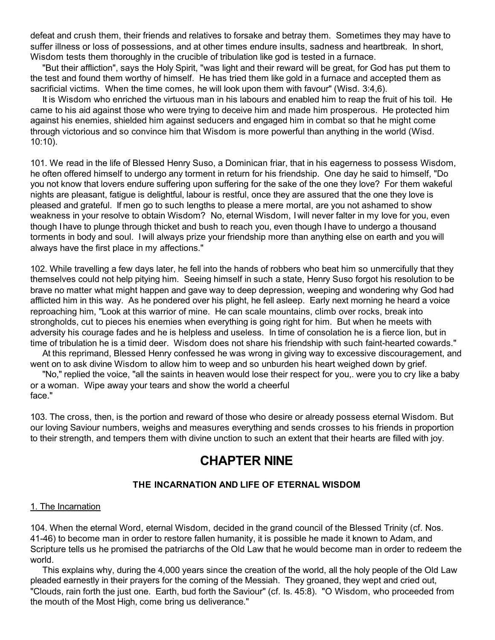defeat and crush them, their friends and relatives to forsake and betray them. Sometimes they may have to suffer illness or loss of possessions, and at other times endure insults, sadness and heartbreak. In short, Wisdom tests them thoroughly in the crucible of tribulation like god is tested in a furnace.

"But their affliction", says the Holy Spirit, "was light and their reward will be great, for God has put them to the test and found them worthy of himself. He has tried them like gold in a furnace and accepted them as sacrificial victims. When the time comes, he will look upon them with favour" (Wisd. 3:4,6).

It is Wisdom who enriched the virtuous man in his labours and enabled him to reap the fruit of his toil. He came to his aid against those who were trying to deceive him and made him prosperous. He protected him against his enemies, shielded him against seducers and engaged him in combat so that he might come through victorious and so convince him that Wisdom is more powerful than anything in the world (Wisd. 10:10).

101. We read in the life of Blessed Henry Suso, a Dominican friar, that in his eagerness to possess Wisdom, he often offered himself to undergo any torment in return for his friendship. One day he said to himself, "Do you not know that lovers endure suffering upon suffering for the sake of the one they love? For them wakeful nights are pleasant, fatigue is delightful, labour is restful, once they are assured that the one they love is pleased and grateful. If men go to such lengths to please a mere mortal, are you not ashamed to show weakness in your resolve to obtain Wisdom? No, eternal Wisdom, I will never falter in my love for you, even though I have to plunge through thicket and bush to reach you, even though I have to undergo a thousand torments in body and soul. I will always prize your friendship more than anything else on earth and you will always have the first place in my affections."

102. While travelling a few days later, he fell into the hands of robbers who beat him so unmercifully that they themselves could not help pitying him. Seeing himself in such a state, Henry Suso forgot his resolution to be brave no matter what might happen and gave way to deep depression, weeping and wondering why God had afflicted him in this way. As he pondered over his plight, he fell asleep. Early next morning he heard a voice reproaching him, "Look at this warrior of mine. He can scale mountains, climb over rocks, break into strongholds, cut to pieces his enemies when everything is going right for him. But when he meets with adversity his courage fades and he is helpless and useless. In time of consolation he is a fierce lion, but in time of tribulation he is a timid deer. Wisdom does not share his friendship with such faint-hearted cowards."

At this reprimand, Blessed Henry confessed he was wrong in giving way to excessive discouragement, and went on to ask divine Wisdom to allow him to weep and so unburden his heart weighed down by grief.

"No," replied the voice, "all the saints in heaven would lose their respect for you,. were you to cry like a baby or a woman. Wipe away your tears and show the world a cheerful face."

103. The cross, then, is the portion and reward of those who desire or already possess eternal Wisdom. But our loving Saviour numbers, weighs and measures everything and sends crosses to his friends in proportion to their strength, and tempers them with divine unction to such an extent that their hearts are filled with joy.

# **CHAPTER NINE**

### **THE INCARNATION AND LIFE OF ETERNAL WISDOM**

### 1. The Incarnation

104. When the eternal Word, eternal Wisdom, decided in the grand council of the Blessed Trinity (cf. Nos. 41-46) to become man in order to restore fallen humanity, it is possible he made it known to Adam, and Scripture tells us he promised the patriarchs of the Old Law that he would become man in order to redeem the world.

This explains why, during the 4,000 years since the creation of the world, all the holy people of the Old Law pleaded earnestly in their prayers for the coming of the Messiah. They groaned, they wept and cried out, "Clouds, rain forth the just one. Earth, bud forth the Saviour" (cf. Is. 45:8). "O Wisdom, who proceeded from the mouth of the Most High, come bring us deliverance."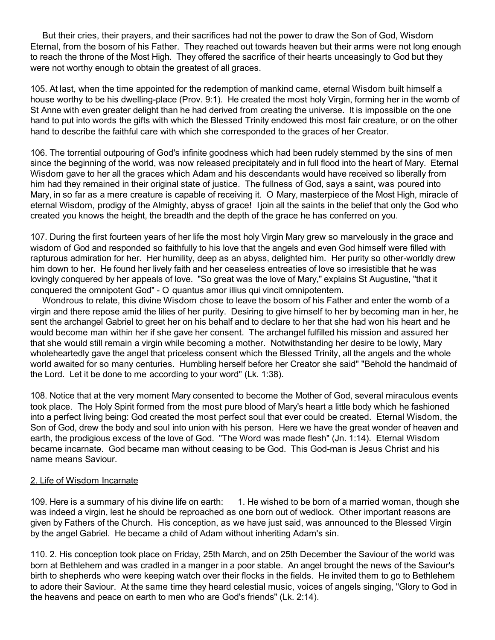But their cries, their prayers, and their sacrifices had not the power to draw the Son of God, Wisdom Eternal, from the bosom of his Father. They reached out towards heaven but their arms were not long enough to reach the throne of the Most High. They offered the sacrifice of their hearts unceasingly to God but they were not worthy enough to obtain the greatest of all graces.

105. At last, when the time appointed for the redemption of mankind came, eternal Wisdom built himself a house worthy to be his dwelling-place (Prov. 9:1). He created the most holy Virgin, forming her in the womb of St Anne with even greater delight than he had derived from creating the universe. It is impossible on the one hand to put into words the gifts with which the Blessed Trinity endowed this most fair creature, or on the other hand to describe the faithful care with which she corresponded to the graces of her Creator.

106. The torrential outpouring of God's infinite goodness which had been rudely stemmed by the sins of men since the beginning of the world, was now released precipitately and in full flood into the heart of Mary. Eternal Wisdom gave to her all the graces which Adam and his descendants would have received so liberally from him had they remained in their original state of justice. The fullness of God, says a saint, was poured into Mary, in so far as a mere creature is capable of receiving it. O Mary, masterpiece of the Most High, miracle of eternal Wisdom, prodigy of the Almighty, abyss of grace! I join all the saints in the belief that only the God who created you knows the height, the breadth and the depth of the grace he has conferred on you.

107. During the first fourteen years of her life the most holy Virgin Mary grew so marvelously in the grace and wisdom of God and responded so faithfully to his love that the angels and even God himself were filled with rapturous admiration for her. Her humility, deep as an abyss, delighted him. Her purity so other-worldly drew him down to her. He found her lively faith and her ceaseless entreaties of love so irresistible that he was lovingly conquered by her appeals of love. "So great was the love of Mary," explains St Augustine, "that it conquered the omnipotent God" - O quantus amor illius qui vincit omnipotentem.

Wondrous to relate, this divine Wisdom chose to leave the bosom of his Father and enter the womb of a virgin and there repose amid the lilies of her purity. Desiring to give himself to her by becoming man in her, he sent the archangel Gabriel to greet her on his behalf and to declare to her that she had won his heart and he would become man within her if she gave her consent. The archangel fulfilled his mission and assured her that she would still remain a virgin while becoming a mother. Notwithstanding her desire to be lowly, Mary wholeheartedly gave the angel that priceless consent which the Blessed Trinity, all the angels and the whole world awaited for so many centuries. Humbling herself before her Creator she said" "Behold the handmaid of the Lord. Let it be done to me according to your word" (Lk. 1:38).

108. Notice that at the very moment Mary consented to become the Mother of God, several miraculous events took place. The Holy Spirit formed from the most pure blood of Mary's heart a little body which he fashioned into a perfect living being: God created the most perfect soul that ever could be created. Eternal Wisdom, the Son of God, drew the body and soul into union with his person. Here we have the great wonder of heaven and earth, the prodigious excess of the love of God. "The Word was made flesh" (Jn. 1:14). Eternal Wisdom became incarnate. God became man without ceasing to be God. This God-man is Jesus Christ and his name means Saviour.

### 2. Life of Wisdom Incarnate

109. Here is a summary of his divine life on earth: 1. He wished to be born of a married woman, though she was indeed a virgin, lest he should be reproached as one born out of wedlock. Other important reasons are given by Fathers of the Church. His conception, as we have just said, was announced to the Blessed Virgin by the angel Gabriel. He became a child of Adam without inheriting Adam's sin.

110. 2. His conception took place on Friday, 25th March, and on 25th December the Saviour of the world was born at Bethlehem and was cradled in a manger in a poor stable. An angel brought the news of the Saviour's birth to shepherds who were keeping watch over their flocks in the fields. He invited them to go to Bethlehem to adore their Saviour. At the same time they heard celestial music, voices of angels singing, "Glory to God in the heavens and peace on earth to men who are God's friends" (Lk. 2:14).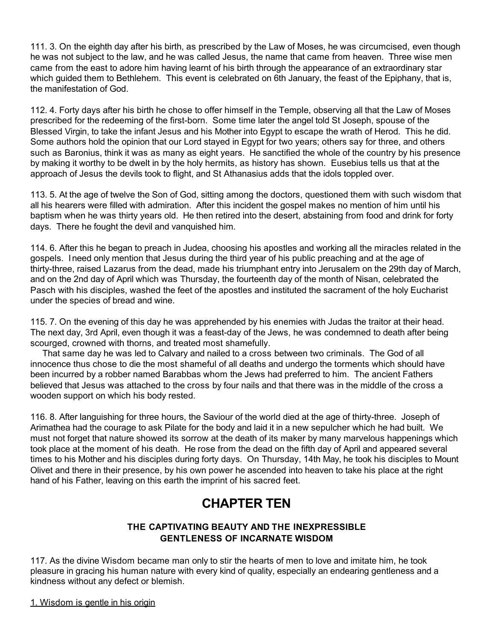111. 3. On the eighth day after his birth, as prescribed by the Law of Moses, he was circumcised, even though he was not subject to the law, and he was called Jesus, the name that came from heaven. Three wise men came from the east to adore him having learnt of his birth through the appearance of an extraordinary star which guided them to Bethlehem. This event is celebrated on 6th January, the feast of the Epiphany, that is, the manifestation of God.

112. 4. Forty days after his birth he chose to offer himself in the Temple, observing all that the Law of Moses prescribed for the redeeming of the first-born. Some time later the angel told St Joseph, spouse of the Blessed Virgin, to take the infant Jesus and his Mother into Egypt to escape the wrath of Herod. This he did. Some authors hold the opinion that our Lord stayed in Egypt for two years; others say for three, and others such as Baronius, think it was as many as eight years. He sanctified the whole of the country by his presence by making it worthy to be dwelt in by the holy hermits, as history has shown. Eusebius tells us that at the approach of Jesus the devils took to flight, and St Athanasius adds that the idols toppled over.

113. 5. At the age of twelve the Son of God, sitting among the doctors, questioned them with such wisdom that all his hearers were filled with admiration. After this incident the gospel makes no mention of him until his baptism when he was thirty years old. He then retired into the desert, abstaining from food and drink for forty days. There he fought the devil and vanquished him.

114. 6. After this he began to preach in Judea, choosing his apostles and working all the miracles related in the gospels. I need only mention that Jesus during the third year of his public preaching and at the age of thirty-three, raised Lazarus from the dead, made his triumphant entry into Jerusalem on the 29th day of March, and on the 2nd day of April which was Thursday, the fourteenth day of the month of Nisan, celebrated the Pasch with his disciples, washed the feet of the apostles and instituted the sacrament of the holy Eucharist under the species of bread and wine.

115. 7. On the evening of this day he was apprehended by his enemies with Judas the traitor at their head. The next day, 3rd April, even though it was a feast-day of the Jews, he was condemned to death after being scourged, crowned with thorns, and treated most shamefully.

That same day he was led to Calvary and nailed to a cross between two criminals. The God of all innocence thus chose to die the most shameful of all deaths and undergo the torments which should have been incurred by a robber named Barabbas whom the Jews had preferred to him. The ancient Fathers believed that Jesus was attached to the cross by four nails and that there was in the middle of the cross a wooden support on which his body rested.

116. 8. After languishing for three hours, the Saviour of the world died at the age of thirty-three. Joseph of Arimathea had the courage to ask Pilate for the body and laid it in a new sepulcher which he had built. We must not forget that nature showed its sorrow at the death of its maker by many marvelous happenings which took place at the moment of his death. He rose from the dead on the fifth day of April and appeared several times to his Mother and his disciples during forty days. On Thursday, 14th May, he took his disciples to Mount Olivet and there in their presence, by his own power he ascended into heaven to take his place at the right hand of his Father, leaving on this earth the imprint of his sacred feet.

# **CHAPTER TEN**

# **THE CAPTIVATING BEAUTY AND THE INEXPRESSIBLE GENTLENESS OF INCARNATE WISDOM**

117. As the divine Wisdom became man only to stir the hearts of men to love and imitate him, he took pleasure in gracing his human nature with every kind of quality, especially an endearing gentleness and a kindness without any defect or blemish.

1. Wisdom is gentle in his origin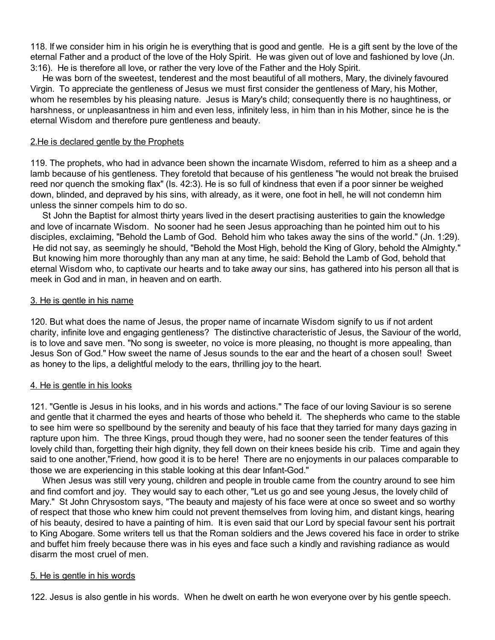118. If we consider him in his origin he is everything that is good and gentle. He is a gift sent by the love of the eternal Father and a product of the love of the Holy Spirit. He was given out of love and fashioned by love (Jn. 3:16). He is therefore all love, or rather the very love of the Father and the Holy Spirit.

He was born of the sweetest, tenderest and the most beautiful of all mothers, Mary, the divinely favoured Virgin. To appreciate the gentleness of Jesus we must first consider the gentleness of Mary, his Mother, whom he resembles by his pleasing nature. Jesus is Mary's child; consequently there is no haughtiness, or harshness, or unpleasantness in him and even less, infinitely less, in him than in his Mother, since he is the eternal Wisdom and therefore pure gentleness and beauty.

### 2.He is declared gentle by the Prophets

119. The prophets, who had in advance been shown the incarnate Wisdom, referred to him as a sheep and a lamb because of his gentleness. They foretold that because of his gentleness "he would not break the bruised reed nor quench the smoking flax" (Is. 42:3). He is so full of kindness that even if a poor sinner be weighed down, blinded, and depraved by his sins, with already, as it were, one foot in hell, he will not condemn him unless the sinner compels him to do so.

St John the Baptist for almost thirty years lived in the desert practising austerities to gain the knowledge and love of incarnate Wisdom. No sooner had he seen Jesus approaching than he pointed him out to his disciples, exclaiming, "Behold the Lamb of God. Behold him who takes away the sins of the world." (Jn. 1:29). He did not say, as seemingly he should, "Behold the Most High, behold the King of Glory, behold the Almighty." But knowing him more thoroughly than any man at any time, he said: Behold the Lamb of God, behold that eternal Wisdom who, to captivate our hearts and to take away our sins, has gathered into his person all that is meek in God and in man, in heaven and on earth.

### 3. He is gentle in his name

120. But what does the name of Jesus, the proper name of incarnate Wisdom signify to us if not ardent charity, infinite love and engaging gentleness? The distinctive characteristic of Jesus, the Saviour of the world, is to love and save men. "No song is sweeter, no voice is more pleasing, no thought is more appealing, than Jesus Son of God." How sweet the name of Jesus sounds to the ear and the heart of a chosen soul! Sweet as honey to the lips, a delightful melody to the ears, thrilling joy to the heart.

### 4. He is gentle in his looks

121. "Gentle is Jesus in his looks, and in his words and actions." The face of our loving Saviour is so serene and gentle that it charmed the eyes and hearts of those who beheld it. The shepherds who came to the stable to see him were so spellbound by the serenity and beauty of his face that they tarried for many days gazing in rapture upon him. The three Kings, proud though they were, had no sooner seen the tender features of this lovely child than, forgetting their high dignity, they fell down on their knees beside his crib. Time and again they said to one another,"Friend, how good it is to be here! There are no enjoyments in our palaces comparable to those we are experiencing in this stable looking at this dear Infant-God."

When Jesus was still very young, children and people in trouble came from the country around to see him and find comfort and joy. They would say to each other, "Let us go and see young Jesus, the lovely child of Mary." St John Chrysostom says, "The beauty and majesty of his face were at once so sweet and so worthy of respect that those who knew him could not prevent themselves from loving him, and distant kings, hearing of his beauty, desired to have a painting of him. It is even said that our Lord by special favour sent his portrait to King Abogare. Some writers tell us that the Roman soldiers and the Jews covered his face in order to strike and buffet him freely because there was in his eyes and face such a kindly and ravishing radiance as would disarm the most cruel of men.

### 5. He is gentle in his words

122. Jesus is also gentle in his words. When he dwelt on earth he won everyone over by his gentle speech.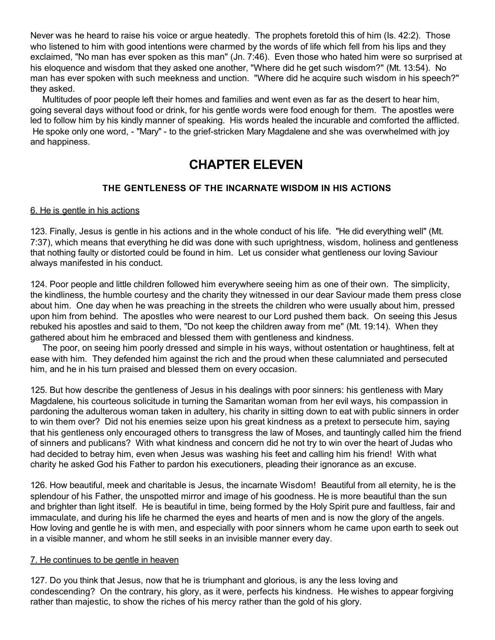Never was he heard to raise his voice or argue heatedly. The prophets foretold this of him (Is. 42:2). Those who listened to him with good intentions were charmed by the words of life which fell from his lips and they exclaimed, "No man has ever spoken as this man" (Jn. 7:46). Even those who hated him were so surprised at his eloquence and wisdom that they asked one another, "Where did he get such wisdom?" (Mt. 13:54). No man has ever spoken with such meekness and unction. "Where did he acquire such wisdom in his speech?" they asked.

Multitudes of poor people left their homes and families and went even as far as the desert to hear him, going several days without food or drink, for his gentle words were food enough for them. The apostles were led to follow him by his kindly manner of speaking. His words healed the incurable and comforted the afflicted. He spoke only one word, - "Mary" - to the grief-stricken Mary Magdalene and she was overwhelmed with joy and happiness.

# **CHAPTER ELEVEN**

## **THE GENTLENESS OF THE INCARNATE WISDOM IN HIS ACTIONS**

### 6. He is gentle in his actions

123. Finally, Jesus is gentle in his actions and in the whole conduct of his life. "He did everything well" (Mt. 7:37), which means that everything he did was done with such uprightness, wisdom, holiness and gentleness that nothing faulty or distorted could be found in him. Let us consider what gentleness our loving Saviour always manifested in his conduct.

124. Poor people and little children followed him everywhere seeing him as one of their own. The simplicity, the kindliness, the humble courtesy and the charity they witnessed in our dear Saviour made them press close about him. One day when he was preaching in the streets the children who were usually about him, pressed upon him from behind. The apostles who were nearest to our Lord pushed them back. On seeing this Jesus rebuked his apostles and said to them, "Do not keep the children away from me" (Mt. 19:14). When they gathered about him he embraced and blessed them with gentleness and kindness.

The poor, on seeing him poorly dressed and simple in his ways, without ostentation or haughtiness, felt at ease with him. They defended him against the rich and the proud when these calumniated and persecuted him, and he in his turn praised and blessed them on every occasion.

125. But how describe the gentleness of Jesus in his dealings with poor sinners: his gentleness with Mary Magdalene, his courteous solicitude in turning the Samaritan woman from her evil ways, his compassion in pardoning the adulterous woman taken in adultery, his charity in sitting down to eat with public sinners in order to win them over? Did not his enemies seize upon his great kindness as a pretext to persecute him, saying that his gentleness only encouraged others to transgress the law of Moses, and tauntingly called him the friend of sinners and publicans? With what kindness and concern did he not try to win over the heart of Judas who had decided to betray him, even when Jesus was washing his feet and calling him his friend! With what charity he asked God his Father to pardon his executioners, pleading their ignorance as an excuse.

126. How beautiful, meek and charitable is Jesus, the incarnate Wisdom! Beautiful from all eternity, he is the splendour of his Father, the unspotted mirror and image of his goodness. He is more beautiful than the sun and brighter than light itself. He is beautiful in time, being formed by the Holy Spirit pure and faultless, fair and immaculate, and during his life he charmed the eyes and hearts of men and is now the glory of the angels. How loving and gentle he is with men, and especially with poor sinners whom he came upon earth to seek out in a visible manner, and whom he still seeks in an invisible manner every day.

### 7. He continues to be gentle in heaven

127. Do you think that Jesus, now that he is triumphant and glorious, is any the less loving and condescending? On the contrary, his glory, as it were, perfects his kindness. He wishes to appear forgiving rather than majestic, to show the riches of his mercy rather than the gold of his glory.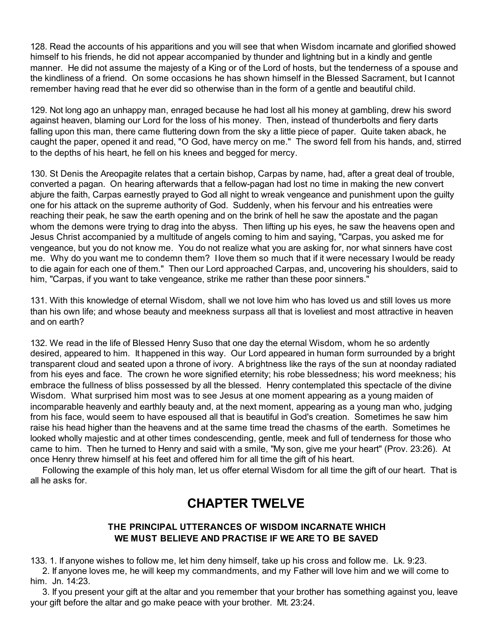128. Read the accounts of his apparitions and you will see that when Wisdom incarnate and glorified showed himself to his friends, he did not appear accompanied by thunder and lightning but in a kindly and gentle manner. He did not assume the majesty of a King or of the Lord of hosts, but the tenderness of a spouse and the kindliness of a friend. On some occasions he has shown himself in the Blessed Sacrament, but I cannot remember having read that he ever did so otherwise than in the form of a gentle and beautiful child.

129. Not long ago an unhappy man, enraged because he had lost all his money at gambling, drew his sword against heaven, blaming our Lord for the loss of his money. Then, instead of thunderbolts and fiery darts falling upon this man, there came fluttering down from the sky a little piece of paper. Quite taken aback, he caught the paper, opened it and read, "O God, have mercy on me." The sword fell from his hands, and, stirred to the depths of his heart, he fell on his knees and begged for mercy.

130. St Denis the Areopagite relates that a certain bishop, Carpas by name, had, after a great deal of trouble, converted a pagan. On hearing afterwards that a fellow-pagan had lost no time in making the new convert abjure the faith, Carpas earnestly prayed to God all night to wreak vengeance and punishment upon the guilty one for his attack on the supreme authority of God. Suddenly, when his fervour and his entreaties were reaching their peak, he saw the earth opening and on the brink of hell he saw the apostate and the pagan whom the demons were trying to drag into the abyss. Then lifting up his eyes, he saw the heavens open and Jesus Christ accompanied by a multitude of angels coming to him and saying, "Carpas, you asked me for vengeance, but you do not know me. You do not realize what you are asking for, nor what sinners have cost me. Why do you want me to condemn them? I love them so much that if it were necessary I would be ready to die again for each one of them." Then our Lord approached Carpas, and, uncovering his shoulders, said to him, "Carpas, if you want to take vengeance, strike me rather than these poor sinners."

131. With this knowledge of eternal Wisdom, shall we not love him who has loved us and still loves us more than his own life; and whose beauty and meekness surpass all that is loveliest and most attractive in heaven and on earth?

132. We read in the life of Blessed Henry Suso that one day the eternal Wisdom, whom he so ardently desired, appeared to him. It happened in this way. Our Lord appeared in human form surrounded by a bright transparent cloud and seated upon a throne of ivory. A brightness like the rays of the sun at noonday radiated from his eyes and face. The crown he wore signified eternity; his robe blessedness; his word meekness; his embrace the fullness of bliss possessed by all the blessed. Henry contemplated this spectacle of the divine Wisdom. What surprised him most was to see Jesus at one moment appearing as a young maiden of incomparable heavenly and earthly beauty and, at the next moment, appearing as a young man who, judging from his face, would seem to have espoused all that is beautiful in God's creation. Sometimes he saw him raise his head higher than the heavens and at the same time tread the chasms of the earth. Sometimes he looked wholly majestic and at other times condescending, gentle, meek and full of tenderness for those who came to him. Then he turned to Henry and said with a smile, "My son, give me your heart" (Prov. 23:26). At once Henry threw himself at his feet and offered him for all time the gift of his heart.

Following the example of this holy man, let us offer eternal Wisdom for all time the gift of our heart. That is all he asks for.

# **CHAPTER TWELVE**

### **THE PRINCIPAL UTTERANCES OF WISDOM INCARNATE WHICH WE MUST BELIEVE AND PRACTISE IF WE ARE TO BE SAVED**

133. 1. If anyone wishes to follow me, let him deny himself, take up his cross and follow me. Lk. 9:23.

2. If anyone loves me, he will keep my commandments, and my Father will love him and we will come to him. Jn. 14:23.

3. If you present your gift at the altar and you remember that your brother has something against you, leave your gift before the altar and go make peace with your brother. Mt. 23:24.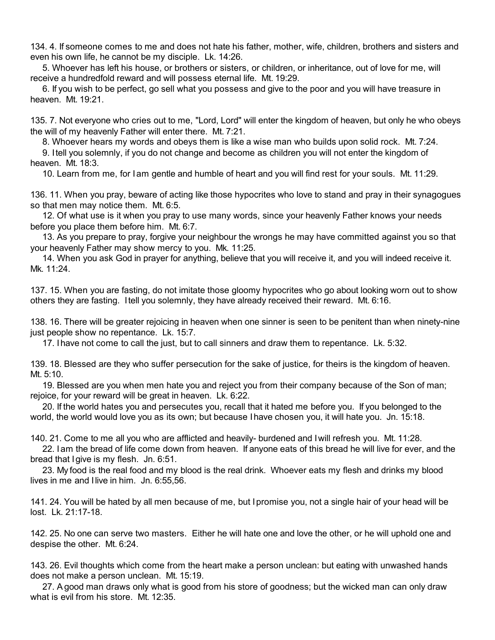134. 4. If someone comes to me and does not hate his father, mother, wife, children, brothers and sisters and even his own life, he cannot be my disciple. Lk. 14:26.

5. Whoever has left his house, or brothers or sisters, or children, or inheritance, out of love for me, will receive a hundredfold reward and will possess eternal life. Mt. 19:29.

6. If you wish to be perfect, go sell what you possess and give to the poor and you will have treasure in heaven. Mt. 19:21.

135. 7. Not everyone who cries out to me, "Lord, Lord" will enter the kingdom of heaven, but only he who obeys the will of my heavenly Father will enter there. Mt. 7:21.

8. Whoever hears my words and obeys them is like a wise man who builds upon solid rock. Mt. 7:24.

9. I tell you solemnly, if you do not change and become as children you will not enter the kingdom of heaven. Mt. 18:3.

10. Learn from me, for I am gentle and humble of heart and you will find rest for your souls. Mt. 11:29.

136. 11. When you pray, beware of acting like those hypocrites who love to stand and pray in their synagogues so that men may notice them. Mt. 6:5.

12. Of what use is it when you pray to use many words, since your heavenly Father knows your needs before you place them before him. Mt. 6:7.

13. As you prepare to pray, forgive your neighbour the wrongs he may have committed against you so that your heavenly Father may show mercy to you. Mk. 11:25.

14. When you ask God in prayer for anything, believe that you will receive it, and you will indeed receive it. Mk. 11:24.

137. 15. When you are fasting, do not imitate those gloomy hypocrites who go about looking worn out to show others they are fasting. I tell you solemnly, they have already received their reward. Mt. 6:16.

138. 16. There will be greater rejoicing in heaven when one sinner is seen to be penitent than when ninety-nine just people show no repentance. Lk. 15:7.

17. I have not come to call the just, but to call sinners and draw them to repentance. Lk. 5:32.

139. 18. Blessed are they who suffer persecution for the sake of justice, for theirs is the kingdom of heaven. Mt. 5:10.

19. Blessed are you when men hate you and reject you from their company because of the Son of man; rejoice, for your reward will be great in heaven. Lk. 6:22.

20. If the world hates you and persecutes you, recall that it hated me before you. If you belonged to the world, the world would love you as its own; but because I have chosen you, it will hate you. Jn. 15:18.

140. 21. Come to me all you who are afflicted and heavily- burdened and I will refresh you. Mt. 11:28.

22. I am the bread of life come down from heaven. If anyone eats of this bread he will live for ever, and the bread that I give is my flesh. Jn. 6:51.

23. My food is the real food and my blood is the real drink. Whoever eats my flesh and drinks my blood lives in me and I live in him. Jn. 6:55,56.

141. 24. You will be hated by all men because of me, but I promise you, not a single hair of your head will be lost. Lk. 21:17-18.

142. 25. No one can serve two masters. Either he will hate one and love the other, or he will uphold one and despise the other. Mt. 6:24.

143. 26. Evil thoughts which come from the heart make a person unclean: but eating with unwashed hands does not make a person unclean. Mt. 15:19.

27. A good man draws only what is good from his store of goodness; but the wicked man can only draw what is evil from his store. Mt. 12:35.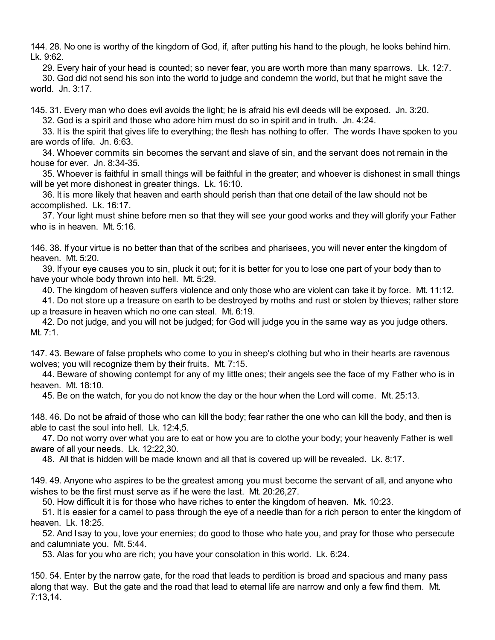144. 28. No one is worthy of the kingdom of God, if, after putting his hand to the plough, he looks behind him. Lk. 9:62.

29. Every hair of your head is counted; so never fear, you are worth more than many sparrows. Lk. 12:7.

30. God did not send his son into the world to judge and condemn the world, but that he might save the world. Jn. 3:17.

145. 31. Every man who does evil avoids the light; he is afraid his evil deeds will be exposed. Jn. 3:20.

32. God is a spirit and those who adore him must do so in spirit and in truth. Jn. 4:24.

33. It is the spirit that gives life to everything; the flesh has nothing to offer. The words I have spoken to you are words of life. Jn. 6:63.

34. Whoever commits sin becomes the servant and slave of sin, and the servant does not remain in the house for ever. Jn. 8:34-35.

35. Whoever is faithful in small things will be faithful in the greater; and whoever is dishonest in small things will be yet more dishonest in greater things. Lk. 16:10.

36. It is more likely that heaven and earth should perish than that one detail of the law should not be accomplished. Lk. 16:17.

37. Your light must shine before men so that they will see your good works and they will glorify your Father who is in heaven. Mt. 5:16.

146. 38. If your virtue is no better than that of the scribes and pharisees, you will never enter the kingdom of heaven. Mt. 5:20.

39. If your eye causes you to sin, pluck it out; for it is better for you to lose one part of your body than to have your whole body thrown into hell. Mt. 5:29.

40. The kingdom of heaven suffers violence and only those who are violent can take it by force. Mt. 11:12.

41. Do not store up a treasure on earth to be destroyed by moths and rust or stolen by thieves; rather store up a treasure in heaven which no one can steal. Mt. 6:19.

42. Do not judge, and you will not be judged; for God will judge you in the same way as you judge others. Mt. 7:1.

147. 43. Beware of false prophets who come to you in sheep's clothing but who in their hearts are ravenous wolves; you will recognize them by their fruits. Mt. 7:15.

44. Beware of showing contempt for any of my little ones; their angels see the face of my Father who is in heaven. Mt. 18:10.

45. Be on the watch, for you do not know the day or the hour when the Lord will come. Mt. 25:13.

148. 46. Do not be afraid of those who can kill the body; fear rather the one who can kill the body, and then is able to cast the soul into hell. Lk. 12:4,5.

47. Do not worry over what you are to eat or how you are to clothe your body; your heavenly Father is well aware of all your needs. Lk. 12:22,30.

48. All that is hidden will be made known and all that is covered up will be revealed. Lk. 8:17.

149. 49. Anyone who aspires to be the greatest among you must become the servant of all, and anyone who wishes to be the first must serve as if he were the last. Mt. 20:26,27.

50. How difficult it is for those who have riches to enter the kingdom of heaven. Mk. 10:23.

51. It is easier for a camel to pass through the eye of a needle than for a rich person to enter the kingdom of heaven. Lk. 18:25.

52. And I say to you, love your enemies; do good to those who hate you, and pray for those who persecute and calumniate you. Mt. 5:44.

53. Alas for you who are rich; you have your consolation in this world. Lk. 6:24.

150. 54. Enter by the narrow gate, for the road that leads to perdition is broad and spacious and many pass along that way. But the gate and the road that lead to eternal life are narrow and only a few find them. Mt. 7:13,14.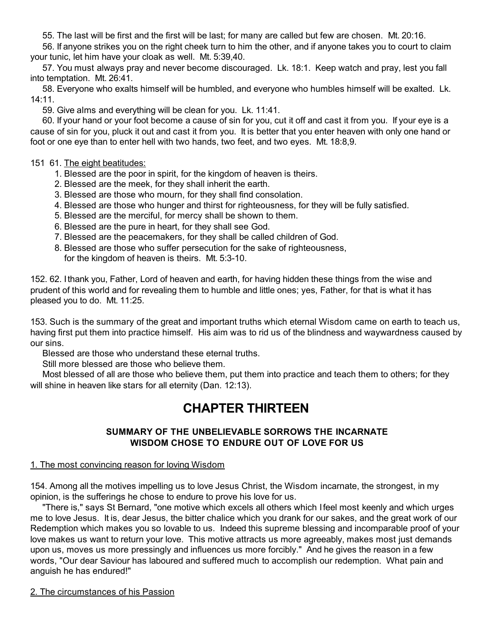55. The last will be first and the first will be last; for many are called but few are chosen. Mt. 20:16.

56. If anyone strikes you on the right cheek turn to him the other, and if anyone takes you to court to claim your tunic, let him have your cloak as well. Mt. 5:39,40.

57. You must always pray and never become discouraged. Lk. 18:1. Keep watch and pray, lest you fall into temptation. Mt. 26:41.

58. Everyone who exalts himself will be humbled, and everyone who humbles himself will be exalted. Lk. 14:11.

59. Give alms and everything will be clean for you. Lk. 11:41.

60. If your hand or your foot become a cause of sin for you, cut it off and cast it from you. If your eye is a cause of sin for you, pluck it out and cast it from you. It is better that you enter heaven with only one hand or foot or one eye than to enter hell with two hands, two feet, and two eyes. Mt. 18:8,9.

151 61. The eight beatitudes:

- 1. Blessed are the poor in spirit, for the kingdom of heaven is theirs.
- 2. Blessed are the meek, for they shall inherit the earth.
- 3. Blessed are those who mourn, for they shall find consolation.
- 4. Blessed are those who hunger and thirst for righteousness, for they will be fully satisfied.
- 5. Blessed are the merciful, for mercy shall be shown to them.
- 6. Blessed are the pure in heart, for they shall see God.
- 7. Blessed are the peacemakers, for they shall be called children of God.
- 8. Blessed are those who suffer persecution for the sake of righteousness, for the kingdom of heaven is theirs. Mt. 5:3-10.

152. 62. I thank you, Father, Lord of heaven and earth, for having hidden these things from the wise and prudent of this world and for revealing them to humble and little ones; yes, Father, for that is what it has pleased you to do. Mt. 11:25.

153. Such is the summary of the great and important truths which eternal Wisdom came on earth to teach us, having first put them into practice himself. His aim was to rid us of the blindness and waywardness caused by our sins.

Blessed are those who understand these eternal truths.

Still more blessed are those who believe them.

Most blessed of all are those who believe them, put them into practice and teach them to others; for they will shine in heaven like stars for all eternity (Dan. 12:13).

# **CHAPTER THIRTEEN**

# **SUMMARY OF THE UNBELIEVABLE SORROWS THE INCARNATE WISDOM CHOSE TO ENDURE OUT OF LOVE FOR US**

### 1. The most convincing reason for loving Wisdom

154. Among all the motives impelling us to love Jesus Christ, the Wisdom incarnate, the strongest, in my opinion, is the sufferings he chose to endure to prove his love for us.

"There is," says St Bernard, "one motive which excels all others which I feel most keenly and which urges me to love Jesus. It is, dear Jesus, the bitter chalice which you drank for our sakes, and the great work of our Redemption which makes you so lovable to us. Indeed this supreme blessing and incomparable proof of your love makes us want to return your love. This motive attracts us more agreeably, makes most just demands upon us, moves us more pressingly and influences us more forcibly." And he gives the reason in a few words, "Our dear Saviour has laboured and suffered much to accomplish our redemption. What pain and anguish he has endured!"

### 2. The circumstances of his Passion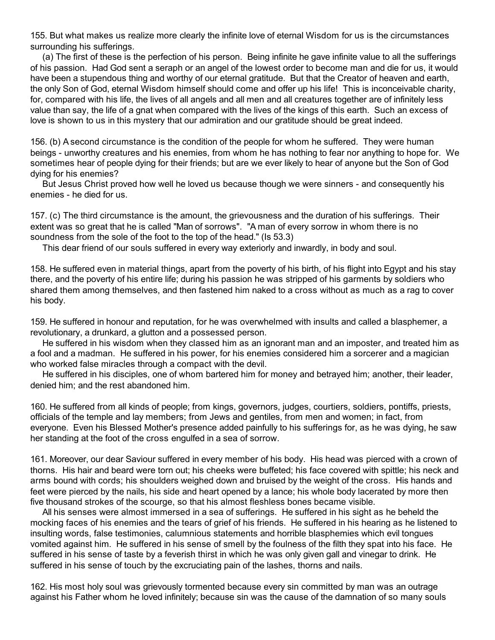155. But what makes us realize more clearly the infinite love of eternal Wisdom for us is the circumstances surrounding his sufferings.

(a) The first of these is the perfection of his person. Being infinite he gave infinite value to all the sufferings of his passion. Had God sent a seraph or an angel of the lowest order to become man and die for us, it would have been a stupendous thing and worthy of our eternal gratitude. But that the Creator of heaven and earth, the only Son of God, eternal Wisdom himself should come and offer up his life! This is inconceivable charity, for, compared with his life, the lives of all angels and all men and all creatures together are of infinitely less value than say, the life of a gnat when compared with the lives of the kings of this earth. Such an excess of love is shown to us in this mystery that our admiration and our gratitude should be great indeed.

156. (b) A second circumstance is the condition of the people for whom he suffered. They were human beings - unworthy creatures and his enemies, from whom he has nothing to fear nor anything to hope for. We sometimes hear of people dying for their friends; but are we ever likely to hear of anyone but the Son of God dying for his enemies?

But Jesus Christ proved how well he loved us because though we were sinners - and consequently his enemies - he died for us.

157. (c) The third circumstance is the amount, the grievousness and the duration of his sufferings. Their extent was so great that he is called "Man of sorrows". "A man of every sorrow in whom there is no soundness from the sole of the foot to the top of the head." (Is 53.3)

This dear friend of our souls suffered in every way exteriorly and inwardly, in body and soul.

158. He suffered even in material things, apart from the poverty of his birth, of his flight into Egypt and his stay there, and the poverty of his entire life; during his passion he was stripped of his garments by soldiers who shared them among themselves, and then fastened him naked to a cross without as much as a rag to cover his body.

159. He suffered in honour and reputation, for he was overwhelmed with insults and called a blasphemer, a revolutionary, a drunkard, a glutton and a possessed person.

He suffered in his wisdom when they classed him as an ignorant man and an imposter, and treated him as a fool and a madman. He suffered in his power, for his enemies considered him a sorcerer and a magician who worked false miracles through a compact with the devil.

He suffered in his disciples, one of whom bartered him for money and betrayed him; another, their leader, denied him; and the rest abandoned him.

160. He suffered from all kinds of people; from kings, governors, judges, courtiers, soldiers, pontiffs, priests, officials of the temple and lay members; from Jews and gentiles, from men and women; in fact, from everyone. Even his Blessed Mother's presence added painfully to his sufferings for, as he was dying, he saw her standing at the foot of the cross engulfed in a sea of sorrow.

161. Moreover, our dear Saviour suffered in every member of his body. His head was pierced with a crown of thorns. His hair and beard were torn out; his cheeks were buffeted; his face covered with spittle; his neck and arms bound with cords; his shoulders weighed down and bruised by the weight of the cross. His hands and feet were pierced by the nails, his side and heart opened by a lance; his whole body lacerated by more then five thousand strokes of the scourge, so that his almost fleshless bones became visible.

All his senses were almost immersed in a sea of sufferings. He suffered in his sight as he beheld the mocking faces of his enemies and the tears of grief of his friends. He suffered in his hearing as he listened to insulting words, false testimonies, calumnious statements and horrible blasphemies which evil tongues vomited against him. He suffered in his sense of smell by the foulness of the filth they spat into his face. He suffered in his sense of taste by a feverish thirst in which he was only given gall and vinegar to drink. He suffered in his sense of touch by the excruciating pain of the lashes, thorns and nails.

162. His most holy soul was grievously tormented because every sin committed by man was an outrage against his Father whom he loved infinitely; because sin was the cause of the damnation of so many souls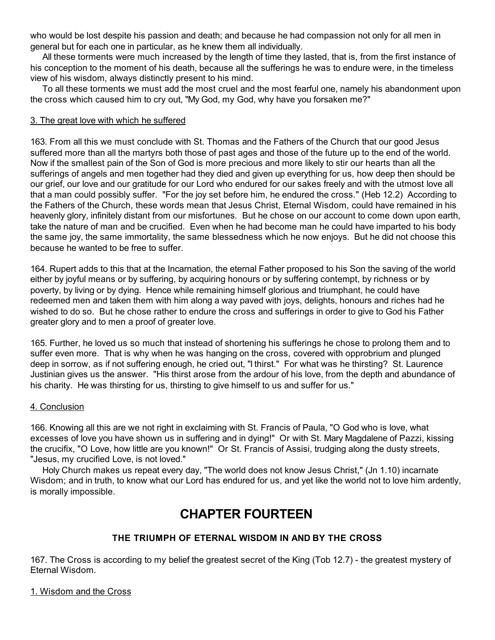who would be lost despite his passion and death; and because he had compassion not only for all men in general but for each one in particular, as he knew them all individually.

All these torments were much increased by the length of time they lasted, that is, from the first instance of his conception to the moment of his death, because all the sufferings he was to endure were, in the timeless view of his wisdom, always distinctly present to his mind.

To all these torments we must add the most cruel and the most fearful one, namely his abandonment upon the cross which caused him to cry out, "My God, my God, why have you forsaken me?"

### 3. The great love with which he suffered

163. From all this we must conclude with St. Thomas and the Fathers of the Church that our good Jesus suffered more than all the martyrs both those of past ages and those of the future up to the end of the world. Now if the smallest pain of the Son of God is more precious and more likely to stir our hearts than all the sufferings of angels and men together had they died and given up everything for us, how deep then should be our grief, our love and our gratitude for our Lord who endured for our sakes freely and with the utmost love all that a man could possibly suffer. "For the joy set before him, he endured the cross." (Heb 12.2) According to the Fathers of the Church, these words mean that Jesus Christ, Eternal Wisdom, could have remained in his heavenly glory, infinitely distant from our misfortunes. But he chose on our account to come down upon earth, take the nature of man and be crucified. Even when he had become man he could have imparted to his body the same joy, the same immortality, the same blessedness which he now enjoys. But he did not choose this because he wanted to be free to suffer.

164. Rupert adds to this that at the Incarnation, the eternal Father proposed to his Son the saving of the world either by joyful means or by suffering, by acquiring honours or by suffering contempt, by richness or by poverty, by living or by dying. Hence while remaining himself glorious and triumphant, he could have redeemed men and taken them with him along a way paved with joys, delights, honours and riches had he wished to do so. But he chose rather to endure the cross and sufferings in order to give to God his Father greater glory and to men a proof of greater love.

165. Further, he loved us so much that instead of shortening his sufferings he chose to prolong them and to suffer even more. That is why when he was hanging on the cross, covered with opprobrium and plunged deep in sorrow, as if not suffering enough, he cried out, "I thirst." For what was he thirsting? St. Laurence Justinian gives us the answer. "His thirst arose from the ardour of his love, from the depth and abundance of his charity. He was thirsting for us, thirsting to give himself to us and suffer for us."

### 4. Conclusion

166. Knowing all this are we not right in exclaiming with St. Francis of Paula, "O God who is love, what excesses of love you have shown us in suffering and in dying!" Or with St. Mary Magdalene of Pazzi, kissing the crucifix, "O Love, how little are you known!" Or St. Francis of Assisi, trudging along the dusty streets, "Jesus, my crucified Love, is not loved."

Holy Church makes us repeat every day, "The world does not know Jesus Christ," (Jn 1.10) incarnate Wisdom; and in truth, to know what our Lord has endured for us, and yet like the world not to love him ardently, is morally impossible.

# **CHAPTER FOURTEEN**

### **THE TRIUMPH OF ETERNAL WISDOM IN AND BY THE CROSS**

167. The Cross is according to my belief the greatest secret of the King (Tob 12.7) - the greatest mystery of Eternal Wisdom.

1. Wisdom and the Cross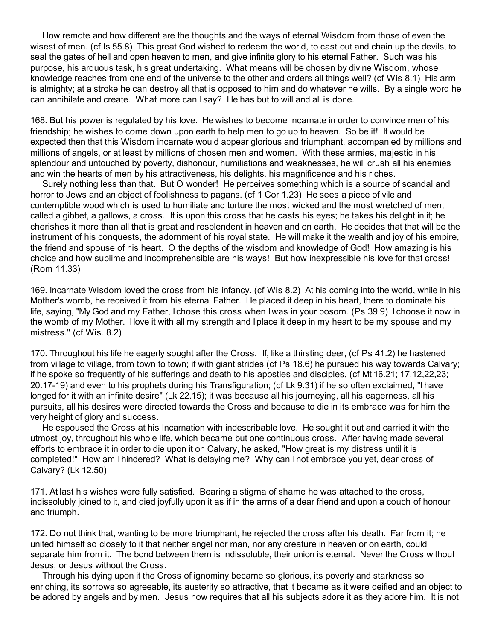How remote and how different are the thoughts and the ways of eternal Wisdom from those of even the wisest of men. (cf Is 55.8) This great God wished to redeem the world, to cast out and chain up the devils, to seal the gates of hell and open heaven to men, and give infinite glory to his eternal Father. Such was his purpose, his arduous task, his great undertaking. What means will be chosen by divine Wisdom, whose knowledge reaches from one end of the universe to the other and orders all things well? (cf Wis 8.1) His arm is almighty; at a stroke he can destroy all that is opposed to him and do whatever he wills. By a single word he can annihilate and create. What more can I say? He has but to will and all is done.

168. But his power is regulated by his love. He wishes to become incarnate in order to convince men of his friendship; he wishes to come down upon earth to help men to go up to heaven. So be it! It would be expected then that this Wisdom incarnate would appear glorious and triumphant, accompanied by millions and millions of angels, or at least by millions of chosen men and women. With these armies, majestic in his splendour and untouched by poverty, dishonour, humiliations and weaknesses, he will crush all his enemies and win the hearts of men by his attractiveness, his delights, his magnificence and his riches.

Surely nothing less than that. But O wonder! He perceives something which is a source of scandal and horror to Jews and an object of foolishness to pagans. (cf 1 Cor 1.23) He sees a piece of vile and contemptible wood which is used to humiliate and torture the most wicked and the most wretched of men, called a gibbet, a gallows, a cross. It is upon this cross that he casts his eyes; he takes his delight in it; he cherishes it more than all that is great and resplendent in heaven and on earth. He decides that that will be the instrument of his conquests, the adornment of his royal state. He will make it the wealth and joy of his empire, the friend and spouse of his heart. O the depths of the wisdom and knowledge of God! How amazing is his choice and how sublime and incomprehensible are his ways! But how inexpressible his love for that cross! (Rom 11.33)

169. Incarnate Wisdom loved the cross from his infancy. (cf Wis 8.2) At his coming into the world, while in his Mother's womb, he received it from his eternal Father. He placed it deep in his heart, there to dominate his life, saying, "My God and my Father, I chose this cross when I was in your bosom. (Ps 39.9) I choose it now in the womb of my Mother. I love it with all my strength and I place it deep in my heart to be my spouse and my mistress." (cf Wis. 8.2)

170. Throughout his life he eagerly sought after the Cross. If, like a thirsting deer, (cf Ps 41.2) he hastened from village to village, from town to town; if with giant strides (cf Ps 18.6) he pursued his way towards Calvary; if he spoke so frequently of his sufferings and death to his apostles and disciples, (cf Mt 16.21; 17.12,22,23; 20.17-19) and even to his prophets during his Transfiguration; (cf Lk 9.31) if he so often exclaimed, "I have longed for it with an infinite desire" (Lk 22.15); it was because all his journeying, all his eagerness, all his pursuits, all his desires were directed towards the Cross and because to die in its embrace was for him the very height of glory and success.

He espoused the Cross at his Incarnation with indescribable love. He sought it out and carried it with the utmost joy, throughout his whole life, which became but one continuous cross. After having made several efforts to embrace it in order to die upon it on Calvary, he asked, "How great is my distress until it is completed!" How am I hindered? What is delaying me? Why can I not embrace you yet, dear cross of Calvary? (Lk 12.50)

171. At last his wishes were fully satisfied. Bearing a stigma of shame he was attached to the cross, indissolubly joined to it, and died joyfully upon it as if in the arms of a dear friend and upon a couch of honour and triumph.

172. Do not think that, wanting to be more triumphant, he rejected the cross after his death. Far from it; he united himself so closely to it that neither angel nor man, nor any creature in heaven or on earth, could separate him from it. The bond between them is indissoluble, their union is eternal. Never the Cross without Jesus, or Jesus without the Cross.

Through his dying upon it the Cross of ignominy became so glorious, its poverty and starkness so enriching, its sorrows so agreeable, its austerity so attractive, that it became as it were deified and an object to be adored by angels and by men. Jesus now requires that all his subjects adore it as they adore him. It is not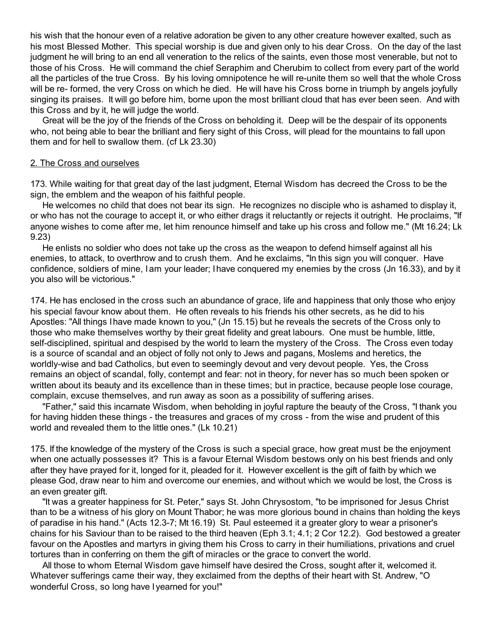his wish that the honour even of a relative adoration be given to any other creature however exalted, such as his most Blessed Mother. This special worship is due and given only to his dear Cross. On the day of the last judgment he will bring to an end all veneration to the relics of the saints, even those most venerable, but not to those of his Cross. He will command the chief Seraphim and Cherubim to collect from every part of the world all the particles of the true Cross. By his loving omnipotence he will re-unite them so well that the whole Cross will be re- formed, the very Cross on which he died. He will have his Cross borne in triumph by angels joyfully singing its praises. It will go before him, borne upon the most brilliant cloud that has ever been seen. And with this Cross and by it, he will judge the world.

Great will be the joy of the friends of the Cross on beholding it. Deep will be the despair of its opponents who, not being able to bear the brilliant and fiery sight of this Cross, will plead for the mountains to fall upon them and for hell to swallow them. (cf Lk 23.30)

#### 2. The Cross and ourselves

173. While waiting for that great day of the last judgment, Eternal Wisdom has decreed the Cross to be the sign, the emblem and the weapon of his faithful people.

He welcomes no child that does not bear its sign. He recognizes no disciple who is ashamed to display it, or who has not the courage to accept it, or who either drags it reluctantly or rejects it outright. He proclaims, "If anyone wishes to come after me, let him renounce himself and take up his cross and follow me." (Mt 16.24; Lk 9.23)

He enlists no soldier who does not take up the cross as the weapon to defend himself against all his enemies, to attack, to overthrow and to crush them. And he exclaims, "In this sign you will conquer. Have confidence, soldiers of mine, I am your leader; I have conquered my enemies by the cross (Jn 16.33), and by it you also will be victorious."

174. He has enclosed in the cross such an abundance of grace, life and happiness that only those who enjoy his special favour know about them. He often reveals to his friends his other secrets, as he did to his Apostles: "All things I have made known to you," (Jn 15.15) but he reveals the secrets of the Cross only to those who make themselves worthy by their great fidelity and great labours. One must be humble, little, self-disciplined, spiritual and despised by the world to learn the mystery of the Cross. The Cross even today is a source of scandal and an object of folly not only to Jews and pagans, Moslems and heretics, the worldly-wise and bad Catholics, but even to seemingly devout and very devout people. Yes, the Cross remains an object of scandal, folly, contempt and fear: not in theory, for never has so much been spoken or written about its beauty and its excellence than in these times; but in practice, because people lose courage, complain, excuse themselves, and run away as soon as a possibility of suffering arises.

"Father," said this incarnate Wisdom, when beholding in joyful rapture the beauty of the Cross, "I thank you for having hidden these things - the treasures and graces of my cross - from the wise and prudent of this world and revealed them to the little ones." (Lk 10.21)

175. If the knowledge of the mystery of the Cross is such a special grace, how great must be the enjoyment when one actually possesses it? This is a favour Eternal Wisdom bestows only on his best friends and only after they have prayed for it, longed for it, pleaded for it. However excellent is the gift of faith by which we please God, draw near to him and overcome our enemies, and without which we would be lost, the Cross is an even greater gift.

"It was a greater happiness for St. Peter," says St. John Chrysostom, "to be imprisoned for Jesus Christ than to be a witness of his glory on Mount Thabor; he was more glorious bound in chains than holding the keys of paradise in his hand." (Acts 12.3-7; Mt 16.19) St. Paul esteemed it a greater glory to wear a prisoner's chains for his Saviour than to be raised to the third heaven (Eph 3.1; 4.1; 2 Cor 12.2). God bestowed a greater favour on the Apostles and martyrs in giving them his Cross to carry in their humiliations, privations and cruel tortures than in conferring on them the gift of miracles or the grace to convert the world.

All those to whom Eternal Wisdom gave himself have desired the Cross, sought after it, welcomed it. Whatever sufferings came their way, they exclaimed from the depths of their heart with St. Andrew, "O wonderful Cross, so long have I yearned for you!"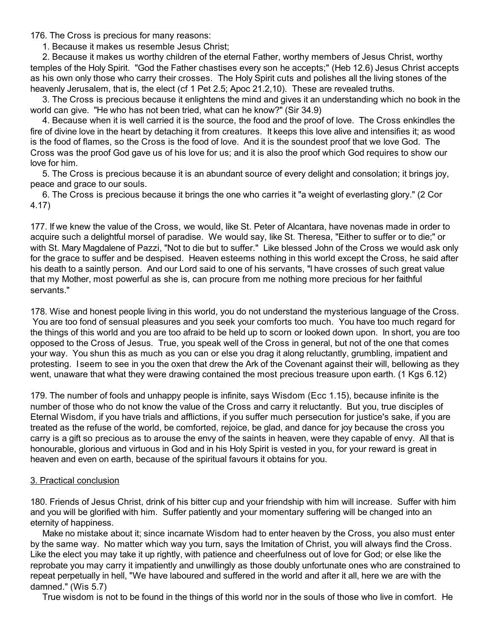176. The Cross is precious for many reasons:

1. Because it makes us resemble Jesus Christ;

2. Because it makes us worthy children of the eternal Father, worthy members of Jesus Christ, worthy temples of the Holy Spirit. "God the Father chastises every son he accepts;" (Heb 12.6) Jesus Christ accepts as his own only those who carry their crosses. The Holy Spirit cuts and polishes all the living stones of the heavenly Jerusalem, that is, the elect (cf 1 Pet 2.5; Apoc 21.2,10). These are revealed truths.

3. The Cross is precious because it enlightens the mind and gives it an understanding which no book in the world can give. "He who has not been tried, what can he know?" (Sir 34.9)

4. Because when it is well carried it is the source, the food and the proof of love. The Cross enkindles the fire of divine love in the heart by detaching it from creatures. It keeps this love alive and intensifies it; as wood is the food of flames, so the Cross is the food of love. And it is the soundest proof that we love God. The Cross was the proof God gave us of his love for us; and it is also the proof which God requires to show our love for him.

5. The Cross is precious because it is an abundant source of every delight and consolation; it brings joy, peace and grace to our souls.

6. The Cross is precious because it brings the one who carries it "a weight of everlasting glory." (2 Cor 4.17)

177. If we knew the value of the Cross, we would, like St. Peter of Alcantara, have novenas made in order to acquire such a delightful morsel of paradise. We would say, like St. Theresa, "Either to suffer or to die;" or with St. Mary Magdalene of Pazzi, "Not to die but to suffer." Like blessed John of the Cross we would ask only for the grace to suffer and be despised. Heaven esteems nothing in this world except the Cross, he said after his death to a saintly person. And our Lord said to one of his servants, "I have crosses of such great value that my Mother, most powerful as she is, can procure from me nothing more precious for her faithful servants."

178. Wise and honest people living in this world, you do not understand the mysterious language of the Cross. You are too fond of sensual pleasures and you seek your comforts too much. You have too much regard for the things of this world and you are too afraid to be held up to scorn or looked down upon. In short, you are too opposed to the Cross of Jesus. True, you speak well of the Cross in general, but not of the one that comes your way. You shun this as much as you can or else you drag it along reluctantly, grumbling, impatient and protesting. I seem to see in you the oxen that drew the Ark of the Covenant against their will, bellowing as they went, unaware that what they were drawing contained the most precious treasure upon earth. (1 Kgs 6.12)

179. The number of fools and unhappy people is infinite, says Wisdom (Ecc 1.15), because infinite is the number of those who do not know the value of the Cross and carry it reluctantly. But you, true disciples of Eternal Wisdom, if you have trials and afflictions, if you suffer much persecution for justice's sake, if you are treated as the refuse of the world, be comforted, rejoice, be glad, and dance for joy because the cross you carry is a gift so precious as to arouse the envy of the saints in heaven, were they capable of envy. All that is honourable, glorious and virtuous in God and in his Holy Spirit is vested in you, for your reward is great in heaven and even on earth, because of the spiritual favours it obtains for you.

### 3. Practical conclusion

180. Friends of Jesus Christ, drink of his bitter cup and your friendship with him will increase. Suffer with him and you will be glorified with him. Suffer patiently and your momentary suffering will be changed into an eternity of happiness.

Make no mistake about it; since incarnate Wisdom had to enter heaven by the Cross, you also must enter by the same way. No matter which way you turn, says the Imitation of Christ, you will always find the Cross. Like the elect you may take it up rightly, with patience and cheerfulness out of love for God; or else like the reprobate you may carry it impatiently and unwillingly as those doubly unfortunate ones who are constrained to repeat perpetually in hell, "We have laboured and suffered in the world and after it all, here we are with the damned." (Wis 5.7)

True wisdom is not to be found in the things of this world nor in the souls of those who live in comfort. He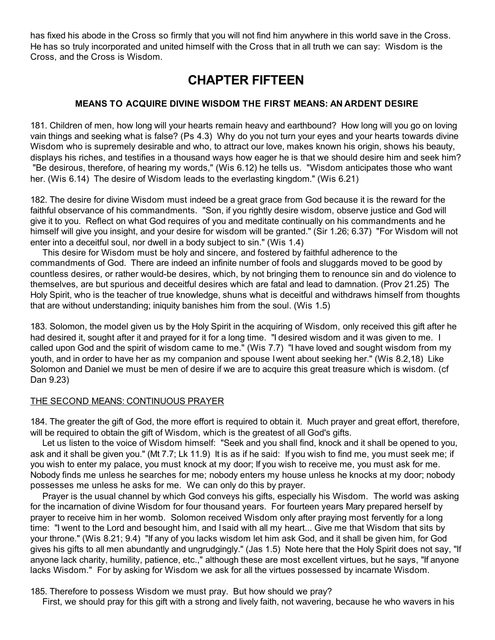has fixed his abode in the Cross so firmly that you will not find him anywhere in this world save in the Cross. He has so truly incorporated and united himself with the Cross that in all truth we can say: Wisdom is the Cross, and the Cross is Wisdom.

# **CHAPTER FIFTEEN**

## **MEANS TO ACQUIRE DIVINE WISDOM THE FIRST MEANS: AN ARDENT DESIRE**

181. Children of men, how long will your hearts remain heavy and earthbound? How long will you go on loving vain things and seeking what is false? (Ps 4.3) Why do you not turn your eyes and your hearts towards divine Wisdom who is supremely desirable and who, to attract our love, makes known his origin, shows his beauty, displays his riches, and testifies in a thousand ways how eager he is that we should desire him and seek him? "Be desirous, therefore, of hearing my words," (Wis 6.12) he tells us. "Wisdom anticipates those who want her. (Wis 6.14) The desire of Wisdom leads to the everlasting kingdom." (Wis 6.21)

182. The desire for divine Wisdom must indeed be a great grace from God because it is the reward for the faithful observance of his commandments. "Son, if you rightly desire wisdom, observe justice and God will give it to you. Reflect on what God requires of you and meditate continually on his commandments and he himself will give you insight, and your desire for wisdom will be granted." (Sir 1.26; 6.37) "For Wisdom will not enter into a deceitful soul, nor dwell in a body subject to sin." (Wis 1.4)

This desire for Wisdom must be holy and sincere, and fostered by faithful adherence to the commandments of God. There are indeed an infinite number of fools and sluggards moved to be good by countless desires, or rather would-be desires, which, by not bringing them to renounce sin and do violence to themselves, are but spurious and deceitful desires which are fatal and lead to damnation. (Prov 21.25) The Holy Spirit, who is the teacher of true knowledge, shuns what is deceitful and withdraws himself from thoughts that are without understanding; iniquity banishes him from the soul. (Wis 1.5)

183. Solomon, the model given us by the Holy Spirit in the acquiring of Wisdom, only received this gift after he had desired it, sought after it and prayed for it for a long time. "I desired wisdom and it was given to me. I called upon God and the spirit of wisdom came to me." (Wis 7.7) "I have loved and sought wisdom from my youth, and in order to have her as my companion and spouse I went about seeking her." (Wis 8.2,18) Like Solomon and Daniel we must be men of desire if we are to acquire this great treasure which is wisdom. (cf Dan 9.23)

### THE SECOND MEANS: CONTINUOUS PRAYER

184. The greater the gift of God, the more effort is required to obtain it. Much prayer and great effort, therefore, will be required to obtain the gift of Wisdom, which is the greatest of all God's gifts.

Let us listen to the voice of Wisdom himself: "Seek and you shall find, knock and it shall be opened to you, ask and it shall be given you." (Mt 7.7; Lk 11.9) It is as if he said: If you wish to find me, you must seek me; if you wish to enter my palace, you must knock at my door; If you wish to receive me, you must ask for me. Nobody finds me unless he searches for me; nobody enters my house unless he knocks at my door; nobody possesses me unless he asks for me. We can only do this by prayer.

Prayer is the usual channel by which God conveys his gifts, especially his Wisdom. The world was asking for the incarnation of divine Wisdom for four thousand years. For fourteen years Mary prepared herself by prayer to receive him in her womb. Solomon received Wisdom only after praying most fervently for a long time: "I went to the Lord and besought him, and I said with all my heart... Give me that Wisdom that sits by your throne." (Wis 8.21; 9.4) "If any of you lacks wisdom let him ask God, and it shall be given him, for God gives his gifts to all men abundantly and ungrudgingly." (Jas 1.5) Note here that the Holy Spirit does not say, "If anyone lack charity, humility, patience, etc.," although these are most excellent virtues, but he says, "If anyone lacks Wisdom." For by asking for Wisdom we ask for all the virtues possessed by incarnate Wisdom.

185. Therefore to possess Wisdom we must pray. But how should we pray?

First, we should pray for this gift with a strong and lively faith, not wavering, because he who wavers in his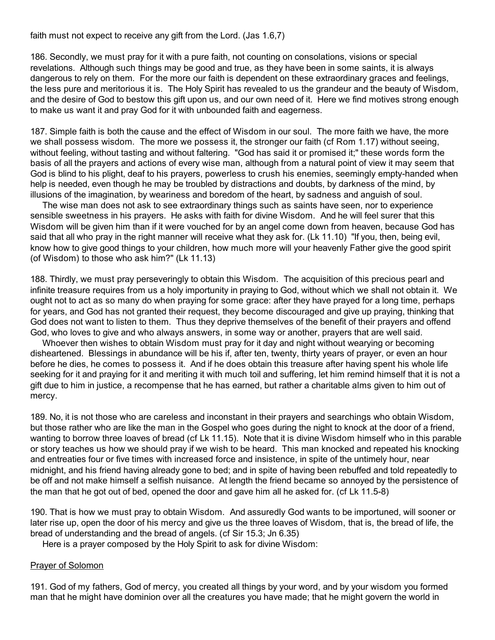faith must not expect to receive any gift from the Lord. (Jas 1.6,7)

186. Secondly, we must pray for it with a pure faith, not counting on consolations, visions or special revelations. Although such things may be good and true, as they have been in some saints, it is always dangerous to rely on them. For the more our faith is dependent on these extraordinary graces and feelings, the less pure and meritorious it is. The Holy Spirit has revealed to us the grandeur and the beauty of Wisdom, and the desire of God to bestow this gift upon us, and our own need of it. Here we find motives strong enough to make us want it and pray God for it with unbounded faith and eagerness.

187. Simple faith is both the cause and the effect of Wisdom in our soul. The more faith we have, the more we shall possess wisdom. The more we possess it, the stronger our faith (cf Rom 1.17) without seeing, without feeling, without tasting and without faltering. "God has said it or promised it;" these words form the basis of all the prayers and actions of every wise man, although from a natural point of view it may seem that God is blind to his plight, deaf to his prayers, powerless to crush his enemies, seemingly empty-handed when help is needed, even though he may be troubled by distractions and doubts, by darkness of the mind, by illusions of the imagination, by weariness and boredom of the heart, by sadness and anguish of soul.

The wise man does not ask to see extraordinary things such as saints have seen, nor to experience sensible sweetness in his prayers. He asks with faith for divine Wisdom. And he will feel surer that this Wisdom will be given him than if it were vouched for by an angel come down from heaven, because God has said that all who pray in the right manner will receive what they ask for. (Lk 11.10) "If you, then, being evil, know how to give good things to your children, how much more will your heavenly Father give the good spirit (of Wisdom) to those who ask him?" (Lk 11.13)

188. Thirdly, we must pray perseveringly to obtain this Wisdom. The acquisition of this precious pearl and infinite treasure requires from us a holy importunity in praying to God, without which we shall not obtain it. We ought not to act as so many do when praying for some grace: after they have prayed for a long time, perhaps for years, and God has not granted their request, they become discouraged and give up praying, thinking that God does not want to listen to them. Thus they deprive themselves of the benefit of their prayers and offend God, who loves to give and who always answers, in some way or another, prayers that are well said.

Whoever then wishes to obtain Wisdom must pray for it day and night without wearying or becoming disheartened. Blessings in abundance will be his if, after ten, twenty, thirty years of prayer, or even an hour before he dies, he comes to possess it. And if he does obtain this treasure after having spent his whole life seeking for it and praying for it and meriting it with much toil and suffering, let him remind himself that it is not a gift due to him in justice, a recompense that he has earned, but rather a charitable alms given to him out of mercy.

189. No, it is not those who are careless and inconstant in their prayers and searchings who obtain Wisdom, but those rather who are like the man in the Gospel who goes during the night to knock at the door of a friend, wanting to borrow three loaves of bread (cf Lk 11.15). Note that it is divine Wisdom himself who in this parable or story teaches us how we should pray if we wish to be heard. This man knocked and repeated his knocking and entreaties four or five times with increased force and insistence, in spite of the untimely hour, near midnight, and his friend having already gone to bed; and in spite of having been rebuffed and told repeatedly to be off and not make himself a selfish nuisance. At length the friend became so annoyed by the persistence of the man that he got out of bed, opened the door and gave him all he asked for. (cf Lk 11.5-8)

190. That is how we must pray to obtain Wisdom. And assuredly God wants to be importuned, will sooner or later rise up, open the door of his mercy and give us the three loaves of Wisdom, that is, the bread of life, the bread of understanding and the bread of angels. (cf Sir 15.3; Jn 6.35)

Here is a prayer composed by the Holy Spirit to ask for divine Wisdom:

### Prayer of Solomon

191. God of my fathers, God of mercy, you created all things by your word, and by your wisdom you formed man that he might have dominion over all the creatures you have made; that he might govern the world in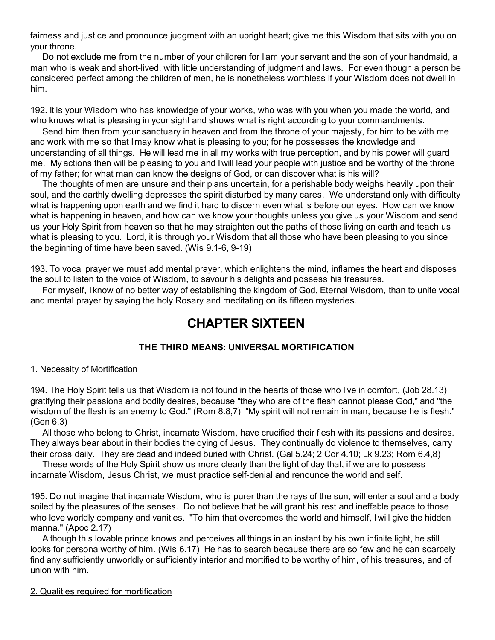fairness and justice and pronounce judgment with an upright heart; give me this Wisdom that sits with you on your throne.

Do not exclude me from the number of your children for I am your servant and the son of your handmaid, a man who is weak and short-lived, with little understanding of judgment and laws. For even though a person be considered perfect among the children of men, he is nonetheless worthless if your Wisdom does not dwell in him.

192. It is your Wisdom who has knowledge of your works, who was with you when you made the world, and who knows what is pleasing in your sight and shows what is right according to your commandments.

Send him then from your sanctuary in heaven and from the throne of your majesty, for him to be with me and work with me so that I may know what is pleasing to you; for he possesses the knowledge and understanding of all things. He will lead me in all my works with true perception, and by his power will guard me. My actions then will be pleasing to you and I will lead your people with justice and be worthy of the throne of my father; for what man can know the designs of God, or can discover what is his will?

The thoughts of men are unsure and their plans uncertain, for a perishable body weighs heavily upon their soul, and the earthly dwelling depresses the spirit disturbed by many cares. We understand only with difficulty what is happening upon earth and we find it hard to discern even what is before our eyes. How can we know what is happening in heaven, and how can we know your thoughts unless you give us your Wisdom and send us your Holy Spirit from heaven so that he may straighten out the paths of those living on earth and teach us what is pleasing to you. Lord, it is through your Wisdom that all those who have been pleasing to you since the beginning of time have been saved. (Wis 9.1-6, 9-19)

193. To vocal prayer we must add mental prayer, which enlightens the mind, inflames the heart and disposes the soul to listen to the voice of Wisdom, to savour his delights and possess his treasures.

For myself, I know of no better way of establishing the kingdom of God, Eternal Wisdom, than to unite vocal and mental prayer by saying the holy Rosary and meditating on its fifteen mysteries.

# **CHAPTER SIXTEEN**

# **THE THIRD MEANS: UNIVERSAL MORTIFICATION**

### 1. Necessity of Mortification

194. The Holy Spirit tells us that Wisdom is not found in the hearts of those who live in comfort, (Job 28.13) gratifying their passions and bodily desires, because "they who are of the flesh cannot please God," and "the wisdom of the flesh is an enemy to God." (Rom 8.8,7) "My spirit will not remain in man, because he is flesh." (Gen 6.3)

All those who belong to Christ, incarnate Wisdom, have crucified their flesh with its passions and desires. They always bear about in their bodies the dying of Jesus. They continually do violence to themselves, carry their cross daily. They are dead and indeed buried with Christ. (Gal 5.24; 2 Cor 4.10; Lk 9.23; Rom 6.4,8)

These words of the Holy Spirit show us more clearly than the light of day that, if we are to possess incarnate Wisdom, Jesus Christ, we must practice self-denial and renounce the world and self.

195. Do not imagine that incarnate Wisdom, who is purer than the rays of the sun, will enter a soul and a body soiled by the pleasures of the senses. Do not believe that he will grant his rest and ineffable peace to those who love worldly company and vanities. "To him that overcomes the world and himself, I will give the hidden manna." (Apoc 2.17)

Although this lovable prince knows and perceives all things in an instant by his own infinite light, he still looks for persona worthy of him. (Wis 6.17) He has to search because there are so few and he can scarcely find any sufficiently unworldly or sufficiently interior and mortified to be worthy of him, of his treasures, and of union with him.

### 2. Qualities required for mortification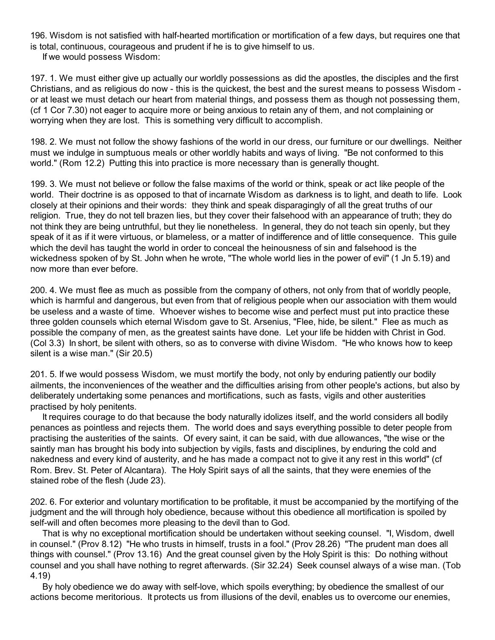196. Wisdom is not satisfied with half-hearted mortification or mortification of a few days, but requires one that is total, continuous, courageous and prudent if he is to give himself to us.

If we would possess Wisdom:

197. 1. We must either give up actually our worldly possessions as did the apostles, the disciples and the first Christians, and as religious do now - this is the quickest, the best and the surest means to possess Wisdom or at least we must detach our heart from material things, and possess them as though not possessing them, (cf 1 Cor 7.30) not eager to acquire more or being anxious to retain any of them, and not complaining or worrying when they are lost. This is something very difficult to accomplish.

198. 2. We must not follow the showy fashions of the world in our dress, our furniture or our dwellings. Neither must we indulge in sumptuous meals or other worldly habits and ways of living. "Be not conformed to this world." (Rom 12.2) Putting this into practice is more necessary than is generally thought.

199. 3. We must not believe or follow the false maxims of the world or think, speak or act like people of the world. Their doctrine is as opposed to that of incarnate Wisdom as darkness is to light, and death to life. Look closely at their opinions and their words: they think and speak disparagingly of all the great truths of our religion. True, they do not tell brazen lies, but they cover their falsehood with an appearance of truth; they do not think they are being untruthful, but they lie nonetheless. In general, they do not teach sin openly, but they speak of it as if it were virtuous, or blameless, or a matter of indifference and of little consequence. This guile which the devil has taught the world in order to conceal the heinousness of sin and falsehood is the wickedness spoken of by St. John when he wrote, "The whole world lies in the power of evil" (1 Jn 5.19) and now more than ever before.

200. 4. We must flee as much as possible from the company of others, not only from that of worldly people, which is harmful and dangerous, but even from that of religious people when our association with them would be useless and a waste of time. Whoever wishes to become wise and perfect must put into practice these three golden counsels which eternal Wisdom gave to St. Arsenius, "Flee, hide, be silent." Flee as much as possible the company of men, as the greatest saints have done. Let your life be hidden with Christ in God. (Col 3.3) In short, be silent with others, so as to converse with divine Wisdom. "He who knows how to keep silent is a wise man." (Sir 20.5)

201. 5. If we would possess Wisdom, we must mortify the body, not only by enduring patiently our bodily ailments, the inconveniences of the weather and the difficulties arising from other people's actions, but also by deliberately undertaking some penances and mortifications, such as fasts, vigils and other austerities practised by holy penitents.

It requires courage to do that because the body naturally idolizes itself, and the world considers all bodily penances as pointless and rejects them. The world does and says everything possible to deter people from practising the austerities of the saints. Of every saint, it can be said, with due allowances, "the wise or the saintly man has brought his body into subjection by vigils, fasts and disciplines, by enduring the cold and nakedness and every kind of austerity, and he has made a compact not to give it any rest in this world" (cf Rom. Brev. St. Peter of Alcantara). The Holy Spirit says of all the saints, that they were enemies of the stained robe of the flesh (Jude 23).

202. 6. For exterior and voluntary mortification to be profitable, it must be accompanied by the mortifying of the judgment and the will through holy obedience, because without this obedience all mortification is spoiled by self-will and often becomes more pleasing to the devil than to God.

That is why no exceptional mortification should be undertaken without seeking counsel. "I, Wisdom, dwell in counsel." (Prov 8.12) "He who trusts in himself, trusts in a fool." (Prov 28.26) "The prudent man does all things with counsel." (Prov 13.16) And the great counsel given by the Holy Spirit is this: Do nothing without counsel and you shall have nothing to regret afterwards. (Sir 32.24) Seek counsel always of a wise man. (Tob 4.19)

By holy obedience we do away with self-love, which spoils everything; by obedience the smallest of our actions become meritorious. It protects us from illusions of the devil, enables us to overcome our enemies,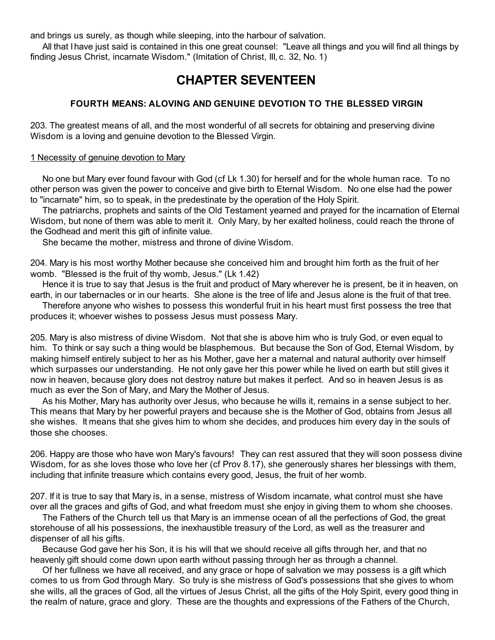and brings us surely, as though while sleeping, into the harbour of salvation.

All that I have just said is contained in this one great counsel: "Leave all things and you will find all things by finding Jesus Christ, incarnate Wisdom." (Imitation of Christ, III, c. 32, No. 1)

# **CHAPTER SEVENTEEN**

## **FOURTH MEANS: A LOVING AND GENUINE DEVOTION TO THE BLESSED VIRGIN**

203. The greatest means of all, and the most wonderful of all secrets for obtaining and preserving divine Wisdom is a loving and genuine devotion to the Blessed Virgin.

### 1 Necessity of genuine devotion to Mary

No one but Mary ever found favour with God (cf Lk 1.30) for herself and for the whole human race. To no other person was given the power to conceive and give birth to Eternal Wisdom. No one else had the power to "incarnate" him, so to speak, in the predestinate by the operation of the Holy Spirit.

The patriarchs, prophets and saints of the Old Testament yearned and prayed for the incarnation of Eternal Wisdom, but none of them was able to merit it. Only Mary, by her exalted holiness, could reach the throne of the Godhead and merit this gift of infinite value.

She became the mother, mistress and throne of divine Wisdom.

204. Mary is his most worthy Mother because she conceived him and brought him forth as the fruit of her womb. "Blessed is the fruit of thy womb, Jesus." (Lk 1.42)

Hence it is true to say that Jesus is the fruit and product of Mary wherever he is present, be it in heaven, on earth, in our tabernacles or in our hearts. She alone is the tree of life and Jesus alone is the fruit of that tree.

Therefore anyone who wishes to possess this wonderful fruit in his heart must first possess the tree that produces it; whoever wishes to possess Jesus must possess Mary.

205. Mary is also mistress of divine Wisdom. Not that she is above him who is truly God, or even equal to him. To think or say such a thing would be blasphemous. But because the Son of God, Eternal Wisdom, by making himself entirely subject to her as his Mother, gave her a maternal and natural authority over himself which surpasses our understanding. He not only gave her this power while he lived on earth but still gives it now in heaven, because glory does not destroy nature but makes it perfect. And so in heaven Jesus is as much as ever the Son of Mary, and Mary the Mother of Jesus.

As his Mother, Mary has authority over Jesus, who because he wills it, remains in a sense subject to her. This means that Mary by her powerful prayers and because she is the Mother of God, obtains from Jesus all she wishes. It means that she gives him to whom she decides, and produces him every day in the souls of those she chooses.

206. Happy are those who have won Mary's favours! They can rest assured that they will soon possess divine Wisdom, for as she loves those who love her (cf Prov 8.17), she generously shares her blessings with them, including that infinite treasure which contains every good, Jesus, the fruit of her womb.

207. If it is true to say that Mary is, in a sense, mistress of Wisdom incarnate, what control must she have over all the graces and gifts of God, and what freedom must she enjoy in giving them to whom she chooses.

The Fathers of the Church tell us that Mary is an immense ocean of all the perfections of God, the great storehouse of all his possessions, the inexhaustible treasury of the Lord, as well as the treasurer and dispenser of all his gifts.

Because God gave her his Son, it is his will that we should receive all gifts through her, and that no heavenly gift should come down upon earth without passing through her as through a channel.

Of her fullness we have all received, and any grace or hope of salvation we may possess is a gift which comes to us from God through Mary. So truly is she mistress of God's possessions that she gives to whom she wills, all the graces of God, all the virtues of Jesus Christ, all the gifts of the Holy Spirit, every good thing in the realm of nature, grace and glory. These are the thoughts and expressions of the Fathers of the Church,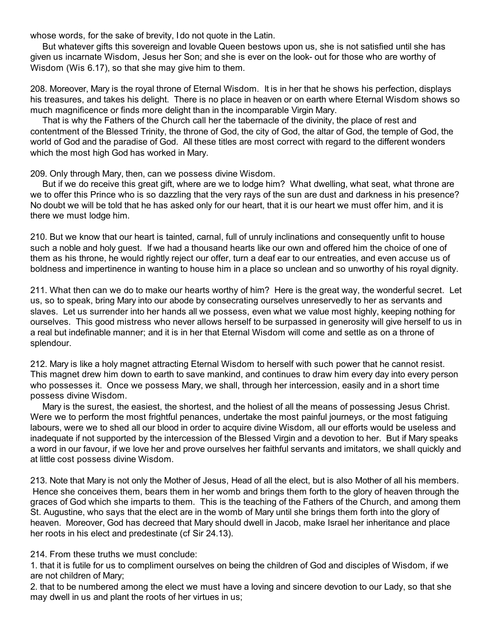whose words, for the sake of brevity, I do not quote in the Latin.

But whatever gifts this sovereign and lovable Queen bestows upon us, she is not satisfied until she has given us incarnate Wisdom, Jesus her Son; and she is ever on the look- out for those who are worthy of Wisdom (Wis 6.17), so that she may give him to them.

208. Moreover, Mary is the royal throne of Eternal Wisdom. It is in her that he shows his perfection, displays his treasures, and takes his delight. There is no place in heaven or on earth where Eternal Wisdom shows so much magnificence or finds more delight than in the incomparable Virgin Mary.

That is why the Fathers of the Church call her the tabernacle of the divinity, the place of rest and contentment of the Blessed Trinity, the throne of God, the city of God, the altar of God, the temple of God, the world of God and the paradise of God. All these titles are most correct with regard to the different wonders which the most high God has worked in Mary.

209. Only through Mary, then, can we possess divine Wisdom.

But if we do receive this great gift, where are we to lodge him? What dwelling, what seat, what throne are we to offer this Prince who is so dazzling that the very rays of the sun are dust and darkness in his presence? No doubt we will be told that he has asked only for our heart, that it is our heart we must offer him, and it is there we must lodge him.

210. But we know that our heart is tainted, carnal, full of unruly inclinations and consequently unfit to house such a noble and holy guest. If we had a thousand hearts like our own and offered him the choice of one of them as his throne, he would rightly reject our offer, turn a deaf ear to our entreaties, and even accuse us of boldness and impertinence in wanting to house him in a place so unclean and so unworthy of his royal dignity.

211. What then can we do to make our hearts worthy of him? Here is the great way, the wonderful secret. Let us, so to speak, bring Mary into our abode by consecrating ourselves unreservedly to her as servants and slaves. Let us surrender into her hands all we possess, even what we value most highly, keeping nothing for ourselves. This good mistress who never allows herself to be surpassed in generosity will give herself to us in a real but indefinable manner; and it is in her that Eternal Wisdom will come and settle as on a throne of splendour.

212. Mary is like a holy magnet attracting Eternal Wisdom to herself with such power that he cannot resist. This magnet drew him down to earth to save mankind, and continues to draw him every day into every person who possesses it. Once we possess Mary, we shall, through her intercession, easily and in a short time possess divine Wisdom.

Mary is the surest, the easiest, the shortest, and the holiest of all the means of possessing Jesus Christ. Were we to perform the most frightful penances, undertake the most painful journeys, or the most fatiguing labours, were we to shed all our blood in order to acquire divine Wisdom, all our efforts would be useless and inadequate if not supported by the intercession of the Blessed Virgin and a devotion to her. But if Mary speaks a word in our favour, if we love her and prove ourselves her faithful servants and imitators, we shall quickly and at little cost possess divine Wisdom.

213. Note that Mary is not only the Mother of Jesus, Head of all the elect, but is also Mother of all his members. Hence she conceives them, bears them in her womb and brings them forth to the glory of heaven through the graces of God which she imparts to them. This is the teaching of the Fathers of the Church, and among them St. Augustine, who says that the elect are in the womb of Mary until she brings them forth into the glory of heaven. Moreover, God has decreed that Mary should dwell in Jacob, make Israel her inheritance and place her roots in his elect and predestinate (cf Sir 24.13).

214. From these truths we must conclude:

1. that it is futile for us to compliment ourselves on being the children of God and disciples of Wisdom, if we are not children of Mary;

2. that to be numbered among the elect we must have a loving and sincere devotion to our Lady, so that she may dwell in us and plant the roots of her virtues in us;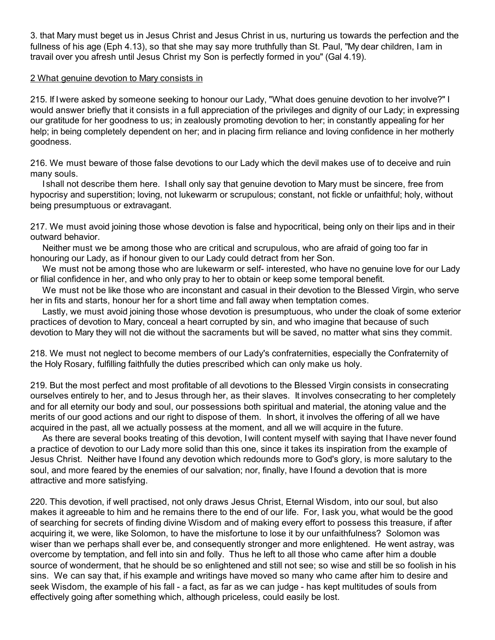3. that Mary must beget us in Jesus Christ and Jesus Christ in us, nurturing us towards the perfection and the fullness of his age (Eph 4.13), so that she may say more truthfully than St. Paul, "My dear children, I am in travail over you afresh until Jesus Christ my Son is perfectly formed in you" (Gal 4.19).

### 2 What genuine devotion to Mary consists in

215. If I were asked by someone seeking to honour our Lady, "What does genuine devotion to her involve?" I would answer briefly that it consists in a full appreciation of the privileges and dignity of our Lady; in expressing our gratitude for her goodness to us; in zealously promoting devotion to her; in constantly appealing for her help; in being completely dependent on her; and in placing firm reliance and loving confidence in her motherly goodness.

216. We must beware of those false devotions to our Lady which the devil makes use of to deceive and ruin many souls.

I shall not describe them here. I shall only say that genuine devotion to Mary must be sincere, free from hypocrisy and superstition; loving, not lukewarm or scrupulous; constant, not fickle or unfaithful; holy, without being presumptuous or extravagant.

217. We must avoid joining those whose devotion is false and hypocritical, being only on their lips and in their outward behavior.

Neither must we be among those who are critical and scrupulous, who are afraid of going too far in honouring our Lady, as if honour given to our Lady could detract from her Son.

We must not be among those who are lukewarm or self- interested, who have no genuine love for our Lady or filial confidence in her, and who only pray to her to obtain or keep some temporal benefit.

We must not be like those who are inconstant and casual in their devotion to the Blessed Virgin, who serve her in fits and starts, honour her for a short time and fall away when temptation comes.

Lastly, we must avoid joining those whose devotion is presumptuous, who under the cloak of some exterior practices of devotion to Mary, conceal a heart corrupted by sin, and who imagine that because of such devotion to Mary they will not die without the sacraments but will be saved, no matter what sins they commit.

218. We must not neglect to become members of our Lady's confraternities, especially the Confraternity of the Holy Rosary, fulfilling faithfully the duties prescribed which can only make us holy.

219. But the most perfect and most profitable of all devotions to the Blessed Virgin consists in consecrating ourselves entirely to her, and to Jesus through her, as their slaves. It involves consecrating to her completely and for all eternity our body and soul, our possessions both spiritual and material, the atoning value and the merits of our good actions and our right to dispose of them. In short, it involves the offering of all we have acquired in the past, all we actually possess at the moment, and all we will acquire in the future.

As there are several books treating of this devotion, I will content myself with saying that I have never found a practice of devotion to our Lady more solid than this one, since it takes its inspiration from the example of Jesus Christ. Neither have I found any devotion which redounds more to God's glory, is more salutary to the soul, and more feared by the enemies of our salvation; nor, finally, have I found a devotion that is more attractive and more satisfying.

220. This devotion, if well practised, not only draws Jesus Christ, Eternal Wisdom, into our soul, but also makes it agreeable to him and he remains there to the end of our life. For, I ask you, what would be the good of searching for secrets of finding divine Wisdom and of making every effort to possess this treasure, if after acquiring it, we were, like Solomon, to have the misfortune to lose it by our unfaithfulness? Solomon was wiser than we perhaps shall ever be, and consequently stronger and more enlightened. He went astray, was overcome by temptation, and fell into sin and folly. Thus he left to all those who came after him a double source of wonderment, that he should be so enlightened and still not see; so wise and still be so foolish in his sins. We can say that, if his example and writings have moved so many who came after him to desire and seek Wisdom, the example of his fall - a fact, as far as we can judge - has kept multitudes of souls from effectively going after something which, although priceless, could easily be lost.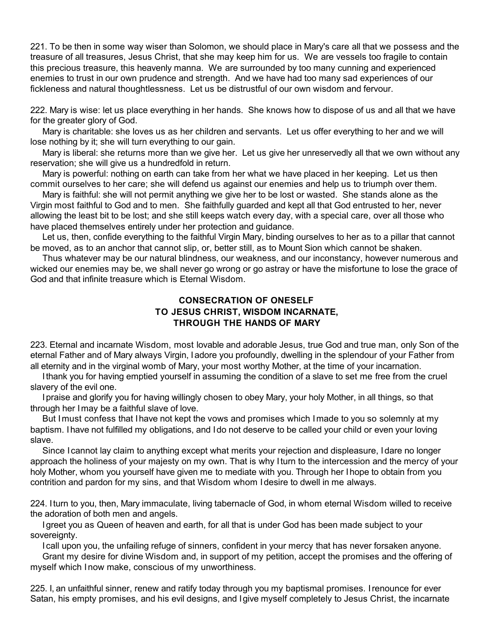221. To be then in some way wiser than Solomon, we should place in Mary's care all that we possess and the treasure of all treasures, Jesus Christ, that she may keep him for us. We are vessels too fragile to contain this precious treasure, this heavenly manna. We are surrounded by too many cunning and experienced enemies to trust in our own prudence and strength. And we have had too many sad experiences of our fickleness and natural thoughtlessness. Let us be distrustful of our own wisdom and fervour.

222. Mary is wise: let us place everything in her hands. She knows how to dispose of us and all that we have for the greater glory of God.

Mary is charitable: she loves us as her children and servants. Let us offer everything to her and we will lose nothing by it; she will turn everything to our gain.

Mary is liberal: she returns more than we give her. Let us give her unreservedly all that we own without any reservation; she will give us a hundredfold in return.

Mary is powerful: nothing on earth can take from her what we have placed in her keeping. Let us then commit ourselves to her care; she will defend us against our enemies and help us to triumph over them.

Mary is faithful: she will not permit anything we give her to be lost or wasted. She stands alone as the Virgin most faithful to God and to men. She faithfully guarded and kept all that God entrusted to her, never allowing the least bit to be lost; and she still keeps watch every day, with a special care, over all those who have placed themselves entirely under her protection and guidance.

Let us, then, confide everything to the faithful Virgin Mary, binding ourselves to her as to a pillar that cannot be moved, as to an anchor that cannot slip, or, better still, as to Mount Sion which cannot be shaken.

Thus whatever may be our natural blindness, our weakness, and our inconstancy, however numerous and wicked our enemies may be, we shall never go wrong or go astray or have the misfortune to lose the grace of God and that infinite treasure which is Eternal Wisdom.

# **CONSECRATION OF ONESELF TO JESUS CHRIST, WISDOM INCARNATE, THROUGH THE HANDS OF MARY**

223. Eternal and incarnate Wisdom, most lovable and adorable Jesus, true God and true man, only Son of the eternal Father and of Mary always Virgin, I adore you profoundly, dwelling in the splendour of your Father from all eternity and in the virginal womb of Mary, your most worthy Mother, at the time of your incarnation.

I thank you for having emptied yourself in assuming the condition of a slave to set me free from the cruel slavery of the evil one.

I praise and glorify you for having willingly chosen to obey Mary, your holy Mother, in all things, so that through her I may be a faithful slave of love.

But I must confess that I have not kept the vows and promises which I made to you so solemnly at my baptism. I have not fulfilled my obligations, and I do not deserve to be called your child or even your loving slave.

Since I cannot lay claim to anything except what merits your rejection and displeasure, I dare no longer approach the holiness of your majesty on my own. That is why I turn to the intercession and the mercy of your holy Mother, whom you yourself have given me to mediate with you. Through her I hope to obtain from you contrition and pardon for my sins, and that Wisdom whom I desire to dwell in me always.

224. I turn to you, then, Mary immaculate, living tabernacle of God, in whom eternal Wisdom willed to receive the adoration of both men and angels.

I greet you as Queen of heaven and earth, for all that is under God has been made subject to your sovereignty.

I call upon you, the unfailing refuge of sinners, confident in your mercy that has never forsaken anyone. Grant my desire for divine Wisdom and, in support of my petition, accept the promises and the offering of myself which I now make, conscious of my unworthiness.

225. I, an unfaithful sinner, renew and ratify today through you my baptismal promises. I renounce for ever Satan, his empty promises, and his evil designs, and I give myself completely to Jesus Christ, the incarnate